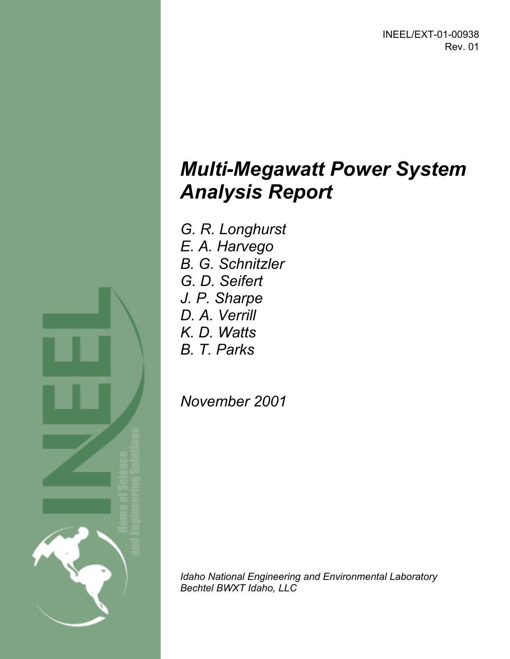INEEL/EXT-01-00938 Rev. 01

# *Multi-Megawatt Power System Analysis Report*

- *G. R. Longhurst E. A. Harvego*
- *B. G. Schnitzler*
- *G. D. Seifert*
- *J. P. Sharpe*
- *D. A. Verrill*
- *K. D. Watts*
- 
- *B. T. Parks*

*November 2001* 

*Idaho National Engineering and Environmental Laboratory Bechtel BWXT Idaho, LLC* 

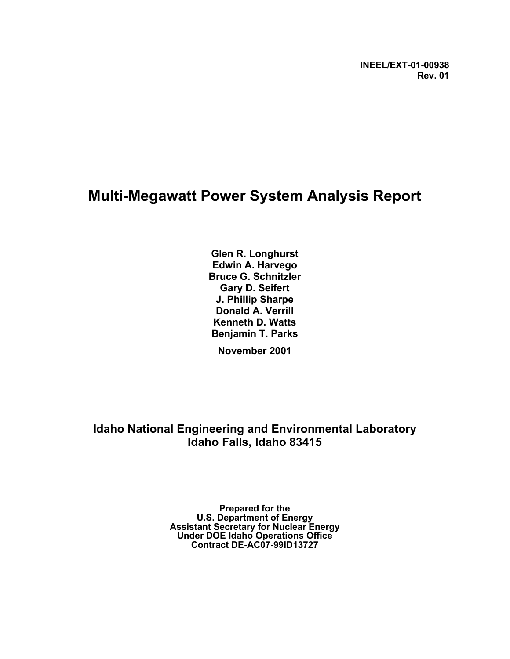### **Multi-Megawatt Power System Analysis Report**

**Glen R. Longhurst Edwin A. Harvego Bruce G. Schnitzler Gary D. Seifert J. Phillip Sharpe Donald A. Verrill Kenneth D. Watts Benjamin T. Parks November 2001** 

**Idaho National Engineering and Environmental Laboratory Idaho Falls, Idaho 83415** 

> **Prepared for the U.S. Department of Energy Assistant Secretary for Nuclear Energy Under DOE Idaho Operations Office Contract DE-AC07-99ID13727**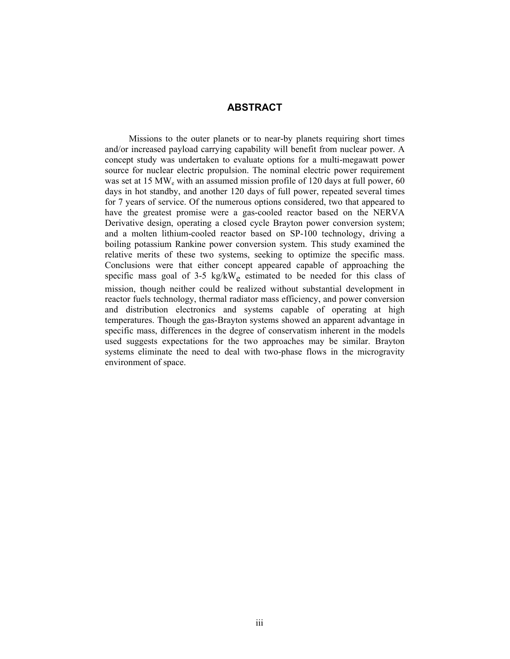#### **ABSTRACT**

Missions to the outer planets or to near-by planets requiring short times and/or increased payload carrying capability will benefit from nuclear power. A concept study was undertaken to evaluate options for a multi-megawatt power source for nuclear electric propulsion. The nominal electric power requirement was set at 15 MW<sub>e</sub> with an assumed mission profile of 120 days at full power, 60 days in hot standby, and another 120 days of full power, repeated several times for 7 years of service. Of the numerous options considered, two that appeared to have the greatest promise were a gas-cooled reactor based on the NERVA Derivative design, operating a closed cycle Brayton power conversion system; and a molten lithium-cooled reactor based on SP-100 technology, driving a boiling potassium Rankine power conversion system. This study examined the relative merits of these two systems, seeking to optimize the specific mass. Conclusions were that either concept appeared capable of approaching the specific mass goal of 3-5 kg/kW<sub>e</sub> estimated to be needed for this class of mission, though neither could be realized without substantial development in reactor fuels technology, thermal radiator mass efficiency, and power conversion and distribution electronics and systems capable of operating at high temperatures. Though the gas-Brayton systems showed an apparent advantage in specific mass, differences in the degree of conservatism inherent in the models used suggests expectations for the two approaches may be similar. Brayton systems eliminate the need to deal with two-phase flows in the microgravity environment of space.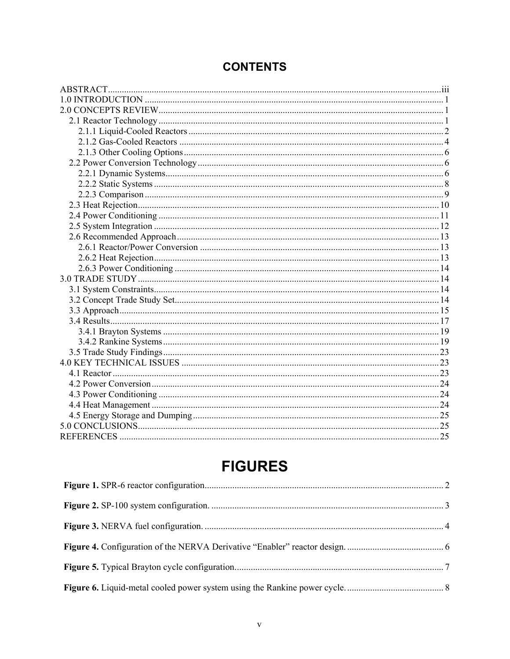### **CONTENTS**

# **FIGURES**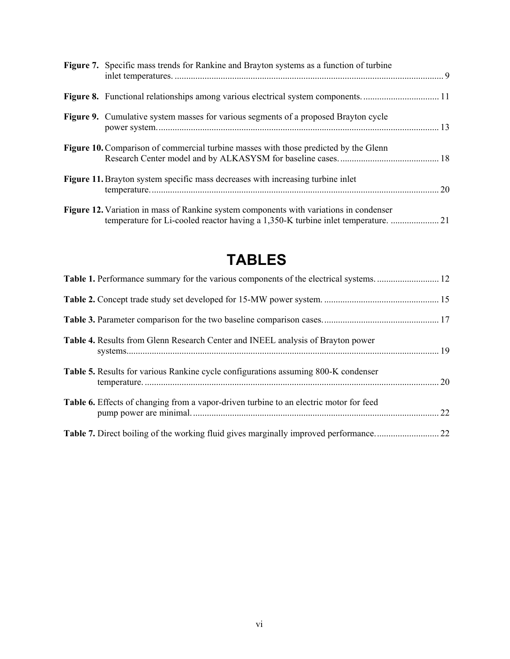| Figure 7. Specific mass trends for Rankine and Brayton systems as a function of turbine                                                                                       |  |
|-------------------------------------------------------------------------------------------------------------------------------------------------------------------------------|--|
|                                                                                                                                                                               |  |
| <b>Figure 9.</b> Cumulative system masses for various segments of a proposed Brayton cycle                                                                                    |  |
| <b>Figure 10.</b> Comparison of commercial turbine masses with those predicted by the Glenn                                                                                   |  |
| Figure 11. Brayton system specific mass decreases with increasing turbine inlet                                                                                               |  |
| <b>Figure 12.</b> Variation in mass of Rankine system components with variations in condenser<br>temperature for Li-cooled reactor having a 1,350-K turbine inlet temperature |  |

# **TABLES**

| <b>Table 4.</b> Results from Glenn Research Center and INEEL analysis of Brayton power    |  |
|-------------------------------------------------------------------------------------------|--|
| <b>Table 5.</b> Results for various Rankine cycle configurations assuming 800-K condenser |  |
| Table 6. Effects of changing from a vapor-driven turbine to an electric motor for feed    |  |
|                                                                                           |  |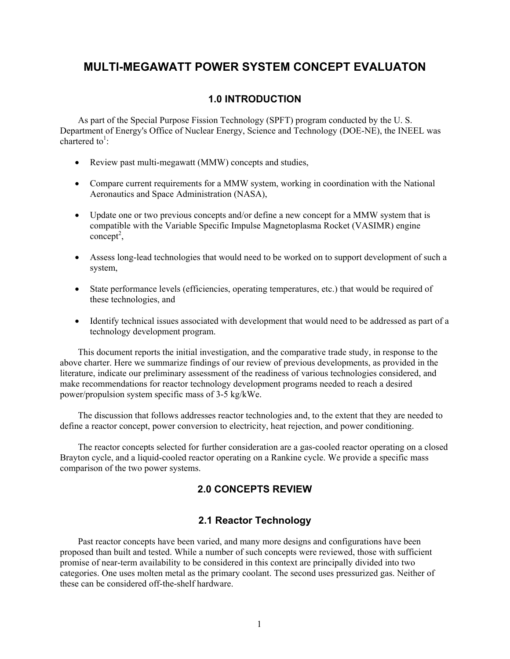#### **MULTI-MEGAWATT POWER SYSTEM CONCEPT EVALUATON**

#### **1.0 INTRODUCTION**

As part of the Special Purpose Fission Technology (SPFT) program conducted by the U. S. Department of Energy's Office of Nuclear Energy, Science and Technology (DOE-NE), the INEEL was chartered to<sup>1</sup>:

- $\bullet$  Review past multi-megawatt (MMW) concepts and studies,
- Compare current requirements for a MMW system, working in coordination with the National Aeronautics and Space Administration (NASA),
- Update one or two previous concepts and/or define a new concept for a MMW system that is compatible with the Variable Specific Impulse Magnetoplasma Rocket (VASIMR) engine  $\text{concept}^2$ ,
- Assess long-lead technologies that would need to be worked on to support development of such a system,
- State performance levels (efficiencies, operating temperatures, etc.) that would be required of these technologies, and
- Identify technical issues associated with development that would need to be addressed as part of a technology development program.

This document reports the initial investigation, and the comparative trade study, in response to the above charter. Here we summarize findings of our review of previous developments, as provided in the literature, indicate our preliminary assessment of the readiness of various technologies considered, and make recommendations for reactor technology development programs needed to reach a desired power/propulsion system specific mass of 3-5 kg/kWe.

The discussion that follows addresses reactor technologies and, to the extent that they are needed to define a reactor concept, power conversion to electricity, heat rejection, and power conditioning.

The reactor concepts selected for further consideration are a gas-cooled reactor operating on a closed Brayton cycle, and a liquid-cooled reactor operating on a Rankine cycle. We provide a specific mass comparison of the two power systems.

#### **2.0 CONCEPTS REVIEW**

#### **2.1 Reactor Technology**

Past reactor concepts have been varied, and many more designs and configurations have been proposed than built and tested. While a number of such concepts were reviewed, those with sufficient promise of near-term availability to be considered in this context are principally divided into two categories. One uses molten metal as the primary coolant. The second uses pressurized gas. Neither of these can be considered off-the-shelf hardware.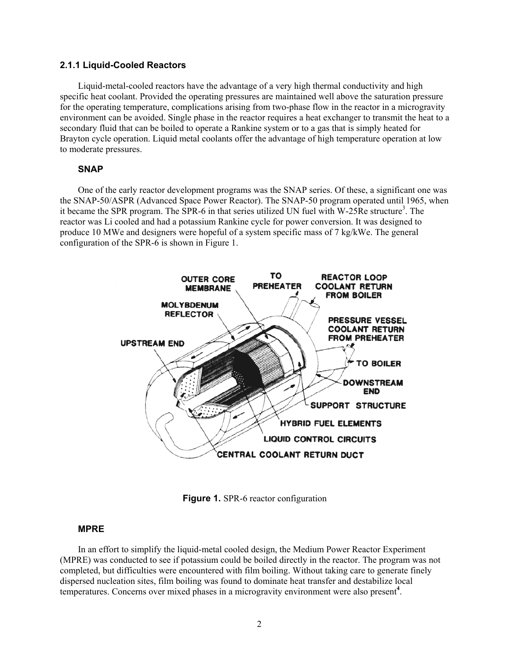#### **2.1.1 Liquid-Cooled Reactors**

Liquid-metal-cooled reactors have the advantage of a very high thermal conductivity and high specific heat coolant. Provided the operating pressures are maintained well above the saturation pressure for the operating temperature, complications arising from two-phase flow in the reactor in a microgravity environment can be avoided. Single phase in the reactor requires a heat exchanger to transmit the heat to a secondary fluid that can be boiled to operate a Rankine system or to a gas that is simply heated for Brayton cycle operation. Liquid metal coolants offer the advantage of high temperature operation at low to moderate pressures.

#### **SNAP**

One of the early reactor development programs was the SNAP series. Of these, a significant one was the SNAP-50/ASPR (Advanced Space Power Reactor). The SNAP-50 program operated until 1965, when it became the SPR program. The SPR-6 in that series utilized UN fuel with W-25Re structure<sup>3</sup>. The reactor was Li cooled and had a potassium Rankine cycle for power conversion. It was designed to produce 10 MWe and designers were hopeful of a system specific mass of 7 kg/kWe. The general configuration of the SPR-6 is shown in Figure 1.



**Figure 1.** SPR-6 reactor configuration

#### **MPRE**

In an effort to simplify the liquid-metal cooled design, the Medium Power Reactor Experiment (MPRE) was conducted to see if potassium could be boiled directly in the reactor. The program was not completed, but difficulties were encountered with film boiling. Without taking care to generate finely dispersed nucleation sites, film boiling was found to dominate heat transfer and destabilize local temperatures. Concerns over mixed phases in a microgravity environment were also present**<sup>4</sup>** .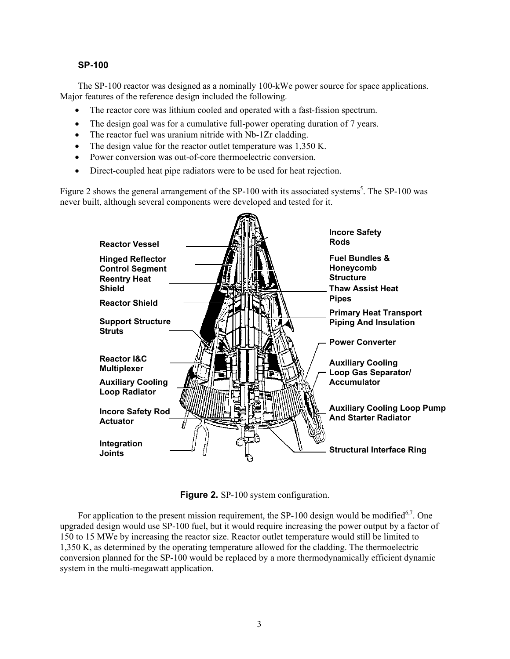#### **SP-100**

The SP-100 reactor was designed as a nominally 100-kWe power source for space applications. Major features of the reference design included the following.

- The reactor core was lithium cooled and operated with a fast-fission spectrum.
- The design goal was for a cumulative full-power operating duration of 7 years.
- $\bullet$  The reactor fuel was uranium nitride with Nb-1Zr cladding.
- $\bullet$  The design value for the reactor outlet temperature was 1,350 K.
- Power conversion was out-of-core thermoelectric conversion.
- Direct-coupled heat pipe radiators were to be used for heat rejection.

Figure 2 shows the general arrangement of the SP-100 with its associated systems<sup>5</sup>. The SP-100 was never built, although several components were developed and tested for it.



**Figure 2.** SP-100 system configuration.

For application to the present mission requirement, the SP-100 design would be modified<sup>6,7</sup>. One upgraded design would use SP-100 fuel, but it would require increasing the power output by a factor of 150 to 15 MWe by increasing the reactor size. Reactor outlet temperature would still be limited to 1,350 K, as determined by the operating temperature allowed for the cladding. The thermoelectric conversion planned for the SP-100 would be replaced by a more thermodynamically efficient dynamic system in the multi-megawatt application.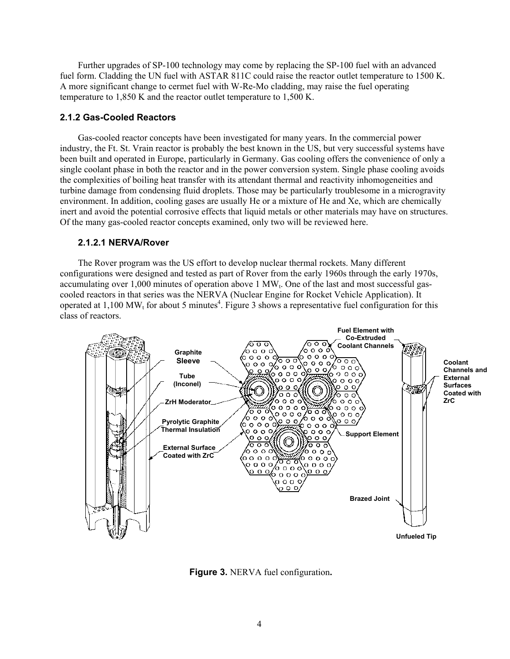Further upgrades of SP-100 technology may come by replacing the SP-100 fuel with an advanced fuel form. Cladding the UN fuel with ASTAR 811C could raise the reactor outlet temperature to 1500 K. A more significant change to cermet fuel with W-Re-Mo cladding, may raise the fuel operating temperature to 1,850 K and the reactor outlet temperature to 1,500 K.

#### **2.1.2 Gas-Cooled Reactors**

Gas-cooled reactor concepts have been investigated for many years. In the commercial power industry, the Ft. St. Vrain reactor is probably the best known in the US, but very successful systems have been built and operated in Europe, particularly in Germany. Gas cooling offers the convenience of only a single coolant phase in both the reactor and in the power conversion system. Single phase cooling avoids the complexities of boiling heat transfer with its attendant thermal and reactivity inhomogeneities and turbine damage from condensing fluid droplets. Those may be particularly troublesome in a microgravity environment. In addition, cooling gases are usually He or a mixture of He and Xe, which are chemically inert and avoid the potential corrosive effects that liquid metals or other materials may have on structures. Of the many gas-cooled reactor concepts examined, only two will be reviewed here.

#### **2.1.2.1 NERVA/Rover**

The Rover program was the US effort to develop nuclear thermal rockets. Many different configurations were designed and tested as part of Rover from the early 1960s through the early 1970s, accumulating over  $1,000$  minutes of operation above 1 MW<sub>t</sub>. One of the last and most successful gascooled reactors in that series was the NERVA (Nuclear Engine for Rocket Vehicle Application). It operated at 1,100 MW<sub>t</sub> for about 5 minutes<sup>4</sup>. Figure 3 shows a representative fuel configuration for this class of reactors.



**Figure 3.** NERVA fuel configuration**.**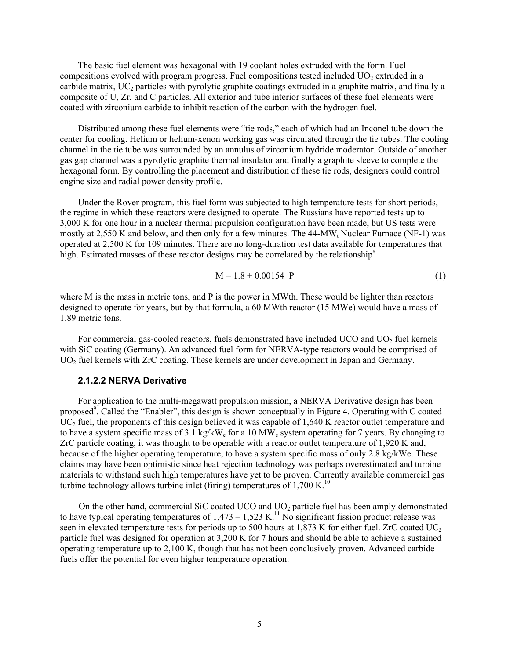The basic fuel element was hexagonal with 19 coolant holes extruded with the form. Fuel compositions evolved with program progress. Fuel compositions tested included  $UO<sub>2</sub>$  extruded in a carbide matrix,  $UC_2$  particles with pyrolytic graphite coatings extruded in a graphite matrix, and finally a composite of U, Zr, and C particles. All exterior and tube interior surfaces of these fuel elements were coated with zirconium carbide to inhibit reaction of the carbon with the hydrogen fuel.

Distributed among these fuel elements were "tie rods," each of which had an Inconel tube down the center for cooling. Helium or helium-xenon working gas was circulated through the tie tubes. The cooling channel in the tie tube was surrounded by an annulus of zirconium hydride moderator. Outside of another gas gap channel was a pyrolytic graphite thermal insulator and finally a graphite sleeve to complete the hexagonal form. By controlling the placement and distribution of these tie rods, designers could control engine size and radial power density profile.

Under the Rover program, this fuel form was subjected to high temperature tests for short periods, the regime in which these reactors were designed to operate. The Russians have reported tests up to 3,000 K for one hour in a nuclear thermal propulsion configuration have been made, but US tests were mostly at 2,550 K and below, and then only for a few minutes. The  $44-MW<sub>t</sub>$  Nuclear Furnace (NF-1) was operated at 2,500 K for 109 minutes. There are no long-duration test data available for temperatures that high. Estimated masses of these reactor designs may be correlated by the relationship<sup>8</sup>

$$
M = 1.8 + 0.00154 \text{ P} \tag{1}
$$

where M is the mass in metric tons, and P is the power in MWth. These would be lighter than reactors designed to operate for years, but by that formula, a 60 MWth reactor (15 MWe) would have a mass of 1.89 metric tons.

For commercial gas-cooled reactors, fuels demonstrated have included  $UCO$  and  $UO<sub>2</sub>$  fuel kernels with SiC coating (Germany). An advanced fuel form for NERVA-type reactors would be comprised of UO<sub>2</sub> fuel kernels with ZrC coating. These kernels are under development in Japan and Germany.

#### **2.1.2.2 NERVA Derivative**

For application to the multi-megawatt propulsion mission, a NERVA Derivative design has been proposed<sup>9</sup>. Called the "Enabler", this design is shown conceptually in Figure 4. Operating with C coated  $UC_2$  fuel, the proponents of this design believed it was capable of 1,640 K reactor outlet temperature and to have a system specific mass of 3.1 kg/kWe for a 10 MWe system operating for 7 years. By changing to ZrC particle coating, it was thought to be operable with a reactor outlet temperature of 1,920 K and, because of the higher operating temperature, to have a system specific mass of only 2.8 kg/kWe. These claims may have been optimistic since heat rejection technology was perhaps overestimated and turbine materials to withstand such high temperatures have yet to be proven. Currently available commercial gas turbine technology allows turbine inlet (firing) temperatures of  $1,700$  K.<sup>10</sup>

On the other hand, commercial SiC coated UCO and  $UO<sub>2</sub>$  particle fuel has been amply demonstrated to have typical operating temperatures of  $1,473 - 1,523$  K.<sup>11</sup> No significant fission product release was seen in elevated temperature tests for periods up to 500 hours at  $1.873$  K for either fuel. ZrC coated UC<sub>2</sub> particle fuel was designed for operation at 3,200 K for 7 hours and should be able to achieve a sustained operating temperature up to 2,100 K, though that has not been conclusively proven. Advanced carbide fuels offer the potential for even higher temperature operation.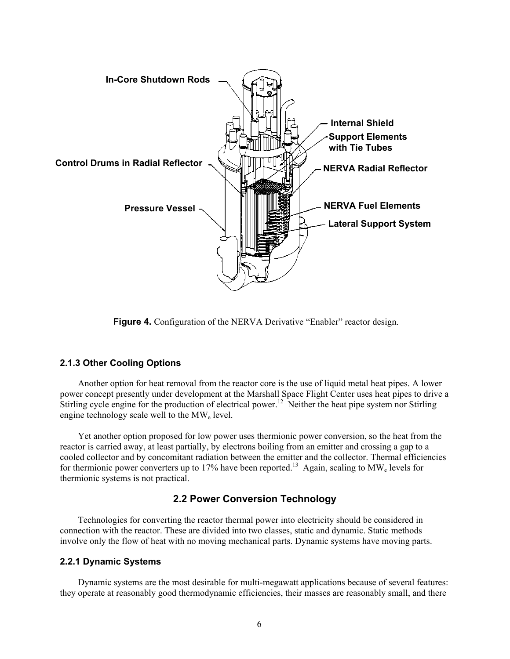

**Figure 4.** Configuration of the NERVA Derivative "Enabler" reactor design.

#### **2.1.3 Other Cooling Options**

Another option for heat removal from the reactor core is the use of liquid metal heat pipes. A lower power concept presently under development at the Marshall Space Flight Center uses heat pipes to drive a Stirling cycle engine for the production of electrical power.<sup>12</sup> Neither the heat pipe system nor Stirling engine technology scale well to the  $MW_e$  level.

Yet another option proposed for low power uses thermionic power conversion, so the heat from the reactor is carried away, at least partially, by electrons boiling from an emitter and crossing a gap to a cooled collector and by concomitant radiation between the emitter and the collector. Thermal efficiencies for thermionic power converters up to 17% have been reported.<sup>13</sup> Again, scaling to MW<sub>e</sub> levels for thermionic systems is not practical.

#### **2.2 Power Conversion Technology**

Technologies for converting the reactor thermal power into electricity should be considered in connection with the reactor. These are divided into two classes, static and dynamic. Static methods involve only the flow of heat with no moving mechanical parts. Dynamic systems have moving parts.

#### **2.2.1 Dynamic Systems**

Dynamic systems are the most desirable for multi-megawatt applications because of several features: they operate at reasonably good thermodynamic efficiencies, their masses are reasonably small, and there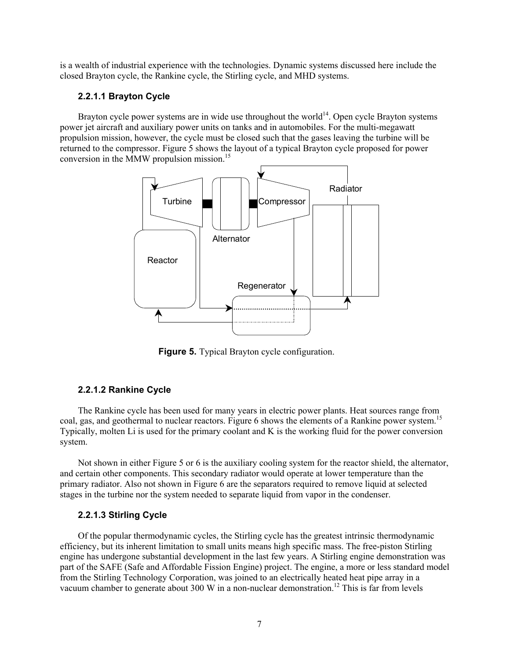is a wealth of industrial experience with the technologies. Dynamic systems discussed here include the closed Brayton cycle, the Rankine cycle, the Stirling cycle, and MHD systems.

#### **2.2.1.1 Brayton Cycle**

Brayton cycle power systems are in wide use throughout the world<sup>14</sup>. Open cycle Brayton systems power jet aircraft and auxiliary power units on tanks and in automobiles. For the multi-megawatt propulsion mission, however, the cycle must be closed such that the gases leaving the turbine will be returned to the compressor. Figure 5 shows the layout of a typical Brayton cycle proposed for power conversion in the MMW propulsion mission.<sup>15</sup>



**Figure 5.** Typical Brayton cycle configuration.

#### **2.2.1.2 Rankine Cycle**

The Rankine cycle has been used for many years in electric power plants. Heat sources range from coal, gas, and geothermal to nuclear reactors. Figure 6 shows the elements of a Rankine power system.<sup>15</sup> Typically, molten Li is used for the primary coolant and K is the working fluid for the power conversion system.

Not shown in either Figure 5 or 6 is the auxiliary cooling system for the reactor shield, the alternator, and certain other components. This secondary radiator would operate at lower temperature than the primary radiator. Also not shown in Figure 6 are the separators required to remove liquid at selected stages in the turbine nor the system needed to separate liquid from vapor in the condenser.

#### **2.2.1.3 Stirling Cycle**

Of the popular thermodynamic cycles, the Stirling cycle has the greatest intrinsic thermodynamic efficiency, but its inherent limitation to small units means high specific mass. The free-piston Stirling engine has undergone substantial development in the last few years. A Stirling engine demonstration was part of the SAFE (Safe and Affordable Fission Engine) project. The engine, a more or less standard model from the Stirling Technology Corporation, was joined to an electrically heated heat pipe array in a vacuum chamber to generate about 300 W in a non-nuclear demonstration.<sup>12</sup> This is far from levels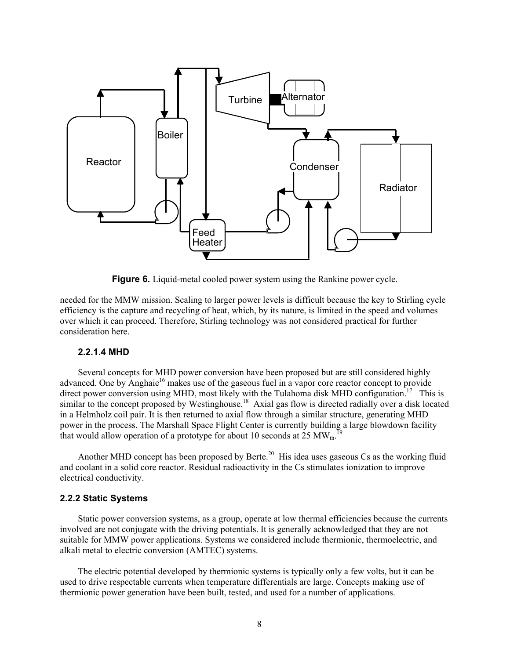

**Figure 6.** Liquid-metal cooled power system using the Rankine power cycle.

needed for the MMW mission. Scaling to larger power levels is difficult because the key to Stirling cycle efficiency is the capture and recycling of heat, which, by its nature, is limited in the speed and volumes over which it can proceed. Therefore, Stirling technology was not considered practical for further consideration here.

#### **2.2.1.4 MHD**

Several concepts for MHD power conversion have been proposed but are still considered highly advanced. One by Anghaie<sup>16</sup> makes use of the gaseous fuel in a vapor core reactor concept to provide direct power conversion using MHD, most likely with the Tulahoma disk MHD configuration.<sup>17</sup> This is similar to the concept proposed by Westinghouse.<sup>18</sup> Axial gas flow is directed radially over a disk located in a Helmholz coil pair. It is then returned to axial flow through a similar structure, generating MHD power in the process. The Marshall Space Flight Center is currently building a large blowdown facility that would allow operation of a prototype for about 10 seconds at 25  $MW_{th}$ . 19

Another MHD concept has been proposed by Berte.<sup>20</sup> His idea uses gaseous Cs as the working fluid and coolant in a solid core reactor. Residual radioactivity in the Cs stimulates ionization to improve electrical conductivity.

#### **2.2.2 Static Systems**

Static power conversion systems, as a group, operate at low thermal efficiencies because the currents involved are not conjugate with the driving potentials. It is generally acknowledged that they are not suitable for MMW power applications. Systems we considered include thermionic, thermoelectric, and alkali metal to electric conversion (AMTEC) systems.

The electric potential developed by thermionic systems is typically only a few volts, but it can be used to drive respectable currents when temperature differentials are large. Concepts making use of thermionic power generation have been built, tested, and used for a number of applications.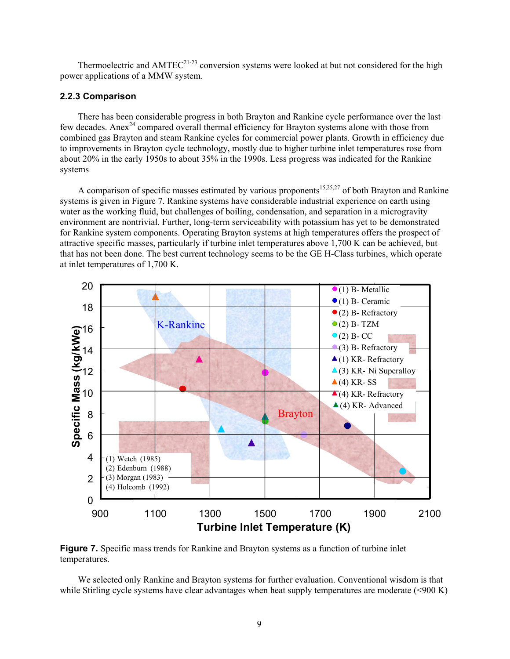Thermoelectric and AMTEC<sup>21-23</sup> conversion systems were looked at but not considered for the high power applications of a MMW system.

#### **2.2.3 Comparison**

There has been considerable progress in both Brayton and Rankine cycle performance over the last few decades. Anex<sup>24</sup> compared overall thermal efficiency for Brayton systems alone with those from combined gas Brayton and steam Rankine cycles for commercial power plants. Growth in efficiency due to improvements in Brayton cycle technology, mostly due to higher turbine inlet temperatures rose from about 20% in the early 1950s to about 35% in the 1990s. Less progress was indicated for the Rankine systems

A comparison of specific masses estimated by various proponents<sup>15,25,27</sup> of both Brayton and Rankine systems is given in Figure 7. Rankine systems have considerable industrial experience on earth using water as the working fluid, but challenges of boiling, condensation, and separation in a microgravity environment are nontrivial. Further, long-term serviceability with potassium has yet to be demonstrated for Rankine system components. Operating Brayton systems at high temperatures offers the prospect of attractive specific masses, particularly if turbine inlet temperatures above 1,700 K can be achieved, but that has not been done. The best current technology seems to be the GE H-Class turbines, which operate at inlet temperatures of 1,700 K.



**Figure 7.** Specific mass trends for Rankine and Brayton systems as a function of turbine inlet temperatures.

We selected only Rankine and Brayton systems for further evaluation. Conventional wisdom is that while Stirling cycle systems have clear advantages when heat supply temperatures are moderate (<900 K)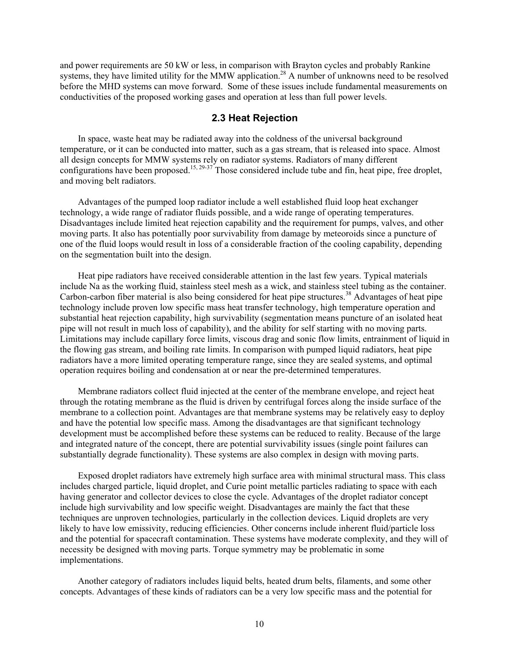and power requirements are 50 kW or less, in comparison with Brayton cycles and probably Rankine systems, they have limited utility for the MMW application.<sup>28</sup> A number of unknowns need to be resolved before the MHD systems can move forward. Some of these issues include fundamental measurements on conductivities of the proposed working gases and operation at less than full power levels.

#### **2.3 Heat Rejection**

In space, waste heat may be radiated away into the coldness of the universal background temperature, or it can be conducted into matter, such as a gas stream, that is released into space. Almost all design concepts for MMW systems rely on radiator systems. Radiators of many different configurations have been proposed.<sup>15, 29-37</sup> Those considered include tube and fin, heat pipe, free droplet, and moving belt radiators.

Advantages of the pumped loop radiator include a well established fluid loop heat exchanger technology, a wide range of radiator fluids possible, and a wide range of operating temperatures. Disadvantages include limited heat rejection capability and the requirement for pumps, valves, and other moving parts. It also has potentially poor survivability from damage by meteoroids since a puncture of one of the fluid loops would result in loss of a considerable fraction of the cooling capability, depending on the segmentation built into the design.

Heat pipe radiators have received considerable attention in the last few years. Typical materials include Na as the working fluid, stainless steel mesh as a wick, and stainless steel tubing as the container. Carbon-carbon fiber material is also being considered for heat pipe structures.<sup>38</sup> Advantages of heat pipe technology include proven low specific mass heat transfer technology, high temperature operation and substantial heat rejection capability, high survivability (segmentation means puncture of an isolated heat pipe will not result in much loss of capability), and the ability for self starting with no moving parts. Limitations may include capillary force limits, viscous drag and sonic flow limits, entrainment of liquid in the flowing gas stream, and boiling rate limits. In comparison with pumped liquid radiators, heat pipe radiators have a more limited operating temperature range, since they are sealed systems, and optimal operation requires boiling and condensation at or near the pre-determined temperatures.

Membrane radiators collect fluid injected at the center of the membrane envelope, and reject heat through the rotating membrane as the fluid is driven by centrifugal forces along the inside surface of the membrane to a collection point. Advantages are that membrane systems may be relatively easy to deploy and have the potential low specific mass. Among the disadvantages are that significant technology development must be accomplished before these systems can be reduced to reality. Because of the large and integrated nature of the concept, there are potential survivability issues (single point failures can substantially degrade functionality). These systems are also complex in design with moving parts.

Exposed droplet radiators have extremely high surface area with minimal structural mass. This class includes charged particle, liquid droplet, and Curie point metallic particles radiating to space with each having generator and collector devices to close the cycle. Advantages of the droplet radiator concept include high survivability and low specific weight. Disadvantages are mainly the fact that these techniques are unproven technologies, particularly in the collection devices. Liquid droplets are very likely to have low emissivity, reducing efficiencies. Other concerns include inherent fluid/particle loss and the potential for spacecraft contamination. These systems have moderate complexity, and they will of necessity be designed with moving parts. Torque symmetry may be problematic in some implementations.

Another category of radiators includes liquid belts, heated drum belts, filaments, and some other concepts. Advantages of these kinds of radiators can be a very low specific mass and the potential for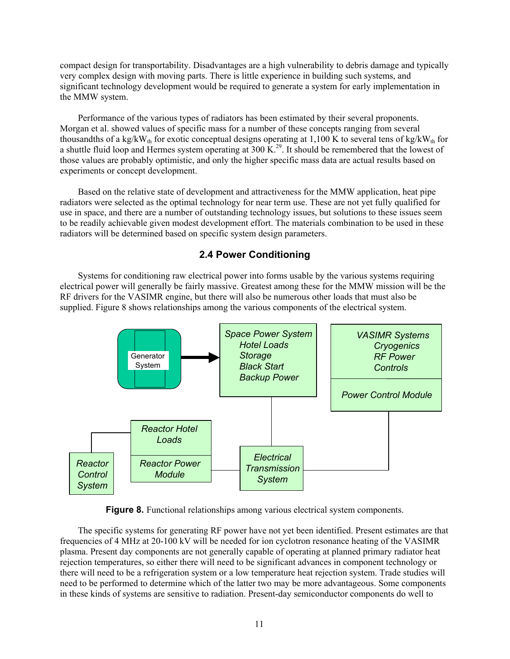compact design for transportability. Disadvantages are a high vulnerability to debris damage and typically very complex design with moving parts. There is little experience in building such systems, and significant technology development would be required to generate a system for early implementation in the MMW system.

Performance of the various types of radiators has been estimated by their several proponents. Morgan et al. showed values of specific mass for a number of these concepts ranging from several thousandths of a kg/kW<sub>th</sub> for exotic conceptual designs operating at 1,100 K to several tens of kg/kW<sub>th</sub> for a shuttle fluid loop and Hermes system operating at  $300 \text{ K}^{29}$ . It should be remembered that the lowest of those values are probably optimistic, and only the higher specific mass data are actual results based on experiments or concept development.

Based on the relative state of development and attractiveness for the MMW application, heat pipe radiators were selected as the optimal technology for near term use. These are not yet fully qualified for use in space, and there are a number of outstanding technology issues, but solutions to these issues seem to be readily achievable given modest development effort. The materials combination to be used in these radiators will be determined based on specific system design parameters.

#### **2.4 Power Conditioning**

Systems for conditioning raw electrical power into forms usable by the various systems requiring electrical power will generally be fairly massive. Greatest among these for the MMW mission will be the RF drivers for the VASIMR engine, but there will also be numerous other loads that must also be supplied. Figure 8 shows relationships among the various components of the electrical system.



**Figure 8.** Functional relationships among various electrical system components.

The specific systems for generating RF power have not yet been identified. Present estimates are that frequencies of 4 MHz at 20-100 kV will be needed for ion cyclotron resonance heating of the VASIMR plasma. Present day components are not generally capable of operating at planned primary radiator heat rejection temperatures, so either there will need to be significant advances in component technology or there will need to be a refrigeration system or a low temperature heat rejection system. Trade studies will need to be performed to determine which of the latter two may be more advantageous. Some components in these kinds of systems are sensitive to radiation. Present-day semiconductor components do well to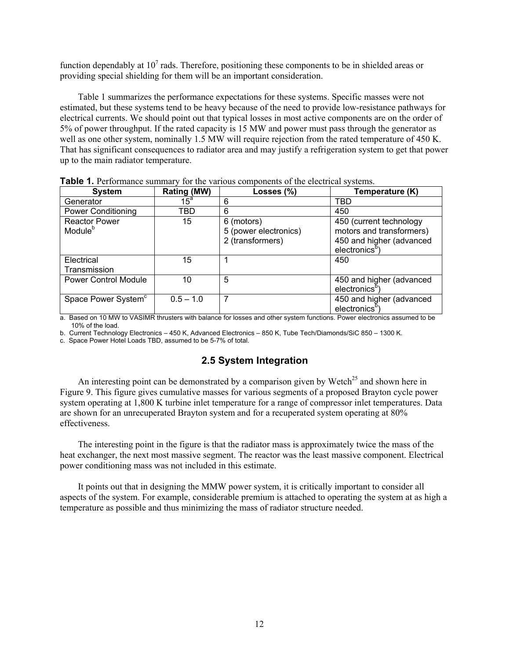function dependably at  $10^7$  rads. Therefore, positioning these components to be in shielded areas or providing special shielding for them will be an important consideration.

Table 1 summarizes the performance expectations for these systems. Specific masses were not estimated, but these systems tend to be heavy because of the need to provide low-resistance pathways for electrical currents. We should point out that typical losses in most active components are on the order of 5% of power throughput. If the rated capacity is 15 MW and power must pass through the generator as well as one other system, nominally 1.5 MW will require rejection from the rated temperature of 450 K. That has significant consequences to radiator area and may justify a refrigeration system to get that power up to the main radiator temperature.

| <b>System</b>                               | Rating (MW) | Losses (%)                                              | Temperature (K)                                                                                             |
|---------------------------------------------|-------------|---------------------------------------------------------|-------------------------------------------------------------------------------------------------------------|
| Generator                                   | $15^a$      | 6                                                       | TBD                                                                                                         |
| <b>Power Conditioning</b>                   | TBD         | 6                                                       | 450                                                                                                         |
| <b>Reactor Power</b><br>Module <sup>b</sup> | 15          | 6 (motors)<br>5 (power electronics)<br>2 (transformers) | 450 (current technology<br>motors and transformers)<br>450 and higher (advanced<br>electronics <sup>p</sup> |
| Electrical<br>Transmission                  | 15          |                                                         | 450                                                                                                         |
| <b>Power Control Module</b>                 | 10          | 5                                                       | 450 and higher (advanced<br>electronics <sup>b</sup> )                                                      |
| Space Power System <sup>c</sup>             | $0.5 - 1.0$ | 7                                                       | 450 and higher (advanced<br>electronics <sup>p</sup>                                                        |

**Table 1.** Performance summary for the various components of the electrical systems.

a. Based on 10 MW to VASIMR thrusters with balance for losses and other system functions. Power electronics assumed to be 10% of the load.

b. Current Technology Electronics – 450 K, Advanced Electronics – 850 K, Tube Tech/Diamonds/SiC 850 – 1300 K.

c. Space Power Hotel Loads TBD, assumed to be 5-7% of total.

#### **2.5 System Integration**

An interesting point can be demonstrated by a comparison given by Wetch<sup>25</sup> and shown here in Figure 9. This figure gives cumulative masses for various segments of a proposed Brayton cycle power system operating at 1,800 K turbine inlet temperature for a range of compressor inlet temperatures. Data are shown for an unrecuperated Brayton system and for a recuperated system operating at 80% effectiveness.

The interesting point in the figure is that the radiator mass is approximately twice the mass of the heat exchanger, the next most massive segment. The reactor was the least massive component. Electrical power conditioning mass was not included in this estimate.

It points out that in designing the MMW power system, it is critically important to consider all aspects of the system. For example, considerable premium is attached to operating the system at as high a temperature as possible and thus minimizing the mass of radiator structure needed.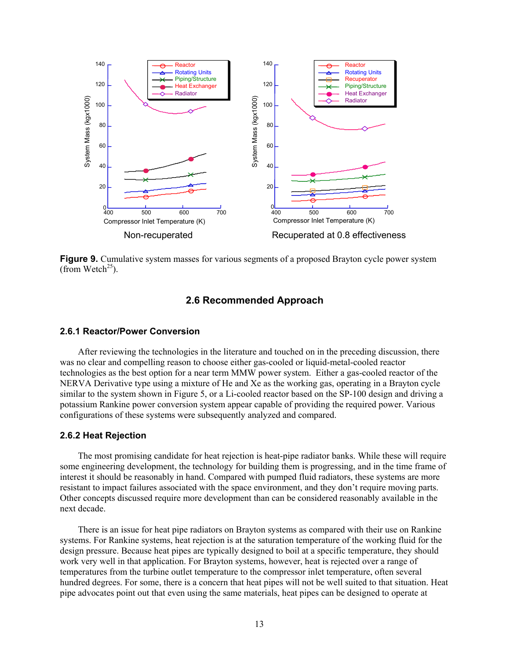

**Figure 9.** Cumulative system masses for various segments of a proposed Brayton cycle power system (from Wetch<sup>25</sup>).

#### **2.6 Recommended Approach**

#### **2.6.1 Reactor/Power Conversion**

After reviewing the technologies in the literature and touched on in the preceding discussion, there was no clear and compelling reason to choose either gas-cooled or liquid-metal-cooled reactor technologies as the best option for a near term MMW power system. Either a gas-cooled reactor of the NERVA Derivative type using a mixture of He and Xe as the working gas, operating in a Brayton cycle similar to the system shown in Figure 5, or a Li-cooled reactor based on the SP-100 design and driving a potassium Rankine power conversion system appear capable of providing the required power. Various configurations of these systems were subsequently analyzed and compared.

#### **2.6.2 Heat Rejection**

The most promising candidate for heat rejection is heat-pipe radiator banks. While these will require some engineering development, the technology for building them is progressing, and in the time frame of interest it should be reasonably in hand. Compared with pumped fluid radiators, these systems are more resistant to impact failures associated with the space environment, and they don't require moving parts. Other concepts discussed require more development than can be considered reasonably available in the next decade.

There is an issue for heat pipe radiators on Brayton systems as compared with their use on Rankine systems. For Rankine systems, heat rejection is at the saturation temperature of the working fluid for the design pressure. Because heat pipes are typically designed to boil at a specific temperature, they should work very well in that application. For Brayton systems, however, heat is rejected over a range of temperatures from the turbine outlet temperature to the compressor inlet temperature, often several hundred degrees. For some, there is a concern that heat pipes will not be well suited to that situation. Heat pipe advocates point out that even using the same materials, heat pipes can be designed to operate at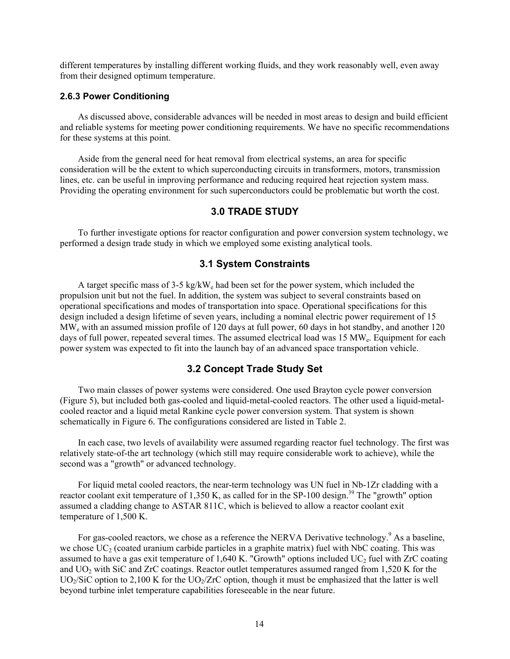different temperatures by installing different working fluids, and they work reasonably well, even away from their designed optimum temperature.

#### **2.6.3 Power Conditioning**

As discussed above, considerable advances will be needed in most areas to design and build efficient and reliable systems for meeting power conditioning requirements. We have no specific recommendations for these systems at this point.

Aside from the general need for heat removal from electrical systems, an area for specific consideration will be the extent to which superconducting circuits in transformers, motors, transmission lines, etc. can be useful in improving performance and reducing required heat rejection system mass. Providing the operating environment for such superconductors could be problematic but worth the cost.

#### **3.0 TRADE STUDY**

To further investigate options for reactor configuration and power conversion system technology, we performed a design trade study in which we employed some existing analytical tools.

#### **3.1 System Constraints**

A target specific mass of 3-5 kg/kW<sub>c</sub> had been set for the power system, which included the propulsion unit but not the fuel. In addition, the system was subject to several constraints based on operational specifications and modes of transportation into space. Operational specifications for this design included a design lifetime of seven years, including a nominal electric power requirement of 15 MWe with an assumed mission profile of 120 days at full power, 60 days in hot standby, and another 120 days of full power, repeated several times. The assumed electrical load was 15 MW<sub>e</sub>. Equipment for each power system was expected to fit into the launch bay of an advanced space transportation vehicle.

#### **3.2 Concept Trade Study Set**

Two main classes of power systems were considered. One used Brayton cycle power conversion (Figure 5), but included both gas-cooled and liquid-metal-cooled reactors. The other used a liquid-metalcooled reactor and a liquid metal Rankine cycle power conversion system. That system is shown schematically in Figure 6. The configurations considered are listed in Table 2.

In each case, two levels of availability were assumed regarding reactor fuel technology. The first was relatively state-of-the art technology (which still may require considerable work to achieve), while the second was a "growth" or advanced technology.

For liquid metal cooled reactors, the near-term technology was UN fuel in Nb-1Zr cladding with a reactor coolant exit temperature of 1,350 K, as called for in the SP-100 design.<sup>39</sup> The "growth" option assumed a cladding change to ASTAR 811C, which is believed to allow a reactor coolant exit temperature of 1,500 K.

For gas-cooled reactors, we chose as a reference the NERVA Derivative technology.<sup>9</sup> As a baseline, we chose  $UC_2$  (coated uranium carbide particles in a graphite matrix) fuel with NbC coating. This was assumed to have a gas exit temperature of 1,640 K. "Growth" options included  $UC_2$  fuel with ZrC coating and UO2 with SiC and ZrC coatings. Reactor outlet temperatures assumed ranged from 1,520 K for the UO<sub>2</sub>/SiC option to 2,100 K for the UO<sub>2</sub>/ZrC option, though it must be emphasized that the latter is well beyond turbine inlet temperature capabilities foreseeable in the near future.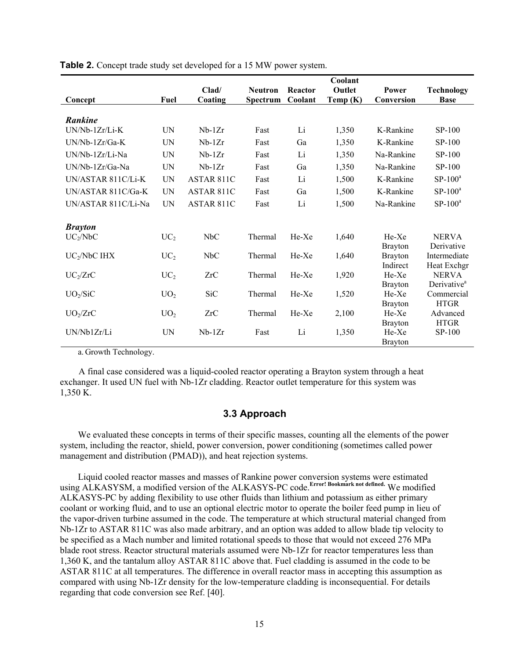|                     |                 |                   |                |         | Coolant    |                |                         |
|---------------------|-----------------|-------------------|----------------|---------|------------|----------------|-------------------------|
|                     |                 | Clad/             | <b>Neutron</b> | Reactor | Outlet     | Power          | <b>Technology</b>       |
| Concept             | Fuel            | Coating           | Spectrum       | Coolant | Temp $(K)$ | Conversion     | <b>Base</b>             |
|                     |                 |                   |                |         |            |                |                         |
| <b>Rankine</b>      |                 |                   |                |         |            |                |                         |
| UN/Nb-1Zr/Li-K      | UN              | $Nb-1Zr$          | Fast           | Li      | 1,350      | K-Rankine      | $SP-100$                |
| UN/Nb-1Zr/Ga-K      | UN              | $Nb-1Zr$          | Fast           | Ga      | 1,350      | K-Rankine      | SP-100                  |
| UN/Nb-1Zr/Li-Na     | UN              | $Nb-1Zr$          | Fast           | Li      | 1,350      | Na-Rankine     | SP-100                  |
| UN/Nb-1Zr/Ga-Na     | <b>UN</b>       | $Nb-1Zr$          | Fast           | Ga      | 1,350      | Na-Rankine     | $SP-100$                |
| UN/ASTAR 811C/Li-K  | <b>UN</b>       | ASTAR 811C        | Fast           | Li      | 1,500      | K-Rankine      | $SP-100^a$              |
| UN/ASTAR 811C/Ga-K  | <b>UN</b>       | ASTAR 811C        | Fast           | Ga      | 1,500      | K-Rankine      | $SP-100^a$              |
| UN/ASTAR 811C/Li-Na | <b>UN</b>       | <b>ASTAR 811C</b> | Fast           | Li      | 1,500      | Na-Rankine     | $SP-100^a$              |
|                     |                 |                   |                |         |            |                |                         |
| <b>Brayton</b>      |                 |                   |                |         |            |                |                         |
| $UC_2/NbC$          | UC <sub>2</sub> | NbC               | Thermal        | He-Xe   | 1,640      | He-Xe          | <b>NERVA</b>            |
|                     |                 |                   |                |         |            | <b>Brayton</b> | Derivative              |
| $UC_2/NbC$ IHX      | UC <sub>2</sub> | NbC               | Thermal        | He-Xe   | 1,640      | <b>Brayton</b> | Intermediate            |
|                     |                 |                   |                |         |            | Indirect       | Heat Exchgr             |
| $UC_2/ZrC$          | UC <sub>2</sub> | ZrC               | Thermal        | He-Xe   | 1,920      | He-Xe          | <b>NERVA</b>            |
|                     |                 |                   |                |         |            | <b>Brayton</b> | Derivative <sup>a</sup> |
| $UO_2/SiC$          | UO <sub>2</sub> | <b>SiC</b>        | Thermal        | He-Xe   | 1,520      | He-Xe          | Commercial              |
|                     |                 |                   |                |         |            | <b>Brayton</b> | <b>HTGR</b>             |
| $UO_2/ZrC$          | UO <sub>2</sub> | ZrC               | Thermal        | He-Xe   | 2,100      | He-Xe          | Advanced                |
|                     |                 |                   |                |         |            | <b>Brayton</b> | <b>HTGR</b>             |
| UN/Nb1Zr/Li         | UN              | $Nb-1Zr$          | Fast           | Li      | 1,350      | He-Xe          | SP-100                  |
|                     |                 |                   |                |         |            | <b>Brayton</b> |                         |

**Table 2.** Concept trade study set developed for a 15 MW power system.

a. Growth Technology.

A final case considered was a liquid-cooled reactor operating a Brayton system through a heat exchanger. It used UN fuel with Nb-1Zr cladding. Reactor outlet temperature for this system was 1,350 K.

#### **3.3 Approach**

We evaluated these concepts in terms of their specific masses, counting all the elements of the power system, including the reactor, shield, power conversion, power conditioning (sometimes called power management and distribution (PMAD)), and heat rejection systems.

Liquid cooled reactor masses and masses of Rankine power conversion systems were estimated using ALKASYSM, a modified version of the ALKASYS-PC code.**Error! Bookmark not defined.** We modified ALKASYS-PC by adding flexibility to use other fluids than lithium and potassium as either primary coolant or working fluid, and to use an optional electric motor to operate the boiler feed pump in lieu of the vapor-driven turbine assumed in the code. The temperature at which structural material changed from Nb-1Zr to ASTAR 811C was also made arbitrary, and an option was added to allow blade tip velocity to be specified as a Mach number and limited rotational speeds to those that would not exceed 276 MPa blade root stress. Reactor structural materials assumed were Nb-1Zr for reactor temperatures less than 1,360 K, and the tantalum alloy ASTAR 811C above that. Fuel cladding is assumed in the code to be ASTAR 811C at all temperatures. The difference in overall reactor mass in accepting this assumption as compared with using Nb-1Zr density for the low-temperature cladding is inconsequential. For details regarding that code conversion see Ref. [40].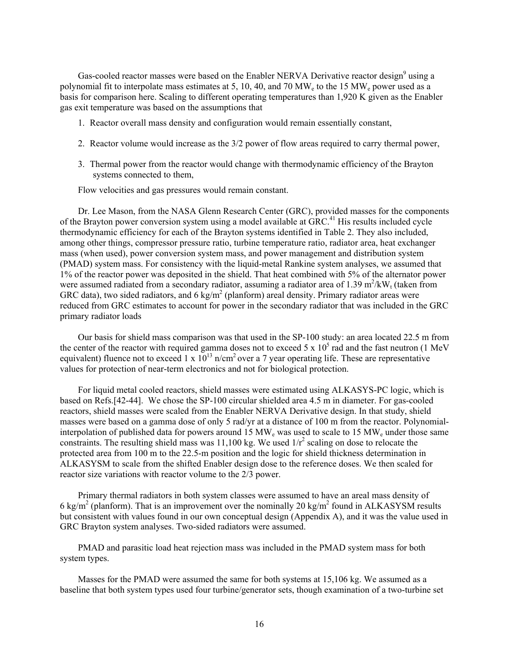Gas-cooled reactor masses were based on the Enabler NERVA Derivative reactor design<sup>9</sup> using a polynomial fit to interpolate mass estimates at 5, 10, 40, and 70 MW<sub>e</sub> to the 15 MW<sub>e</sub> power used as a basis for comparison here. Scaling to different operating temperatures than 1,920 K given as the Enabler gas exit temperature was based on the assumptions that

- 1. Reactor overall mass density and configuration would remain essentially constant,
- 2. Reactor volume would increase as the 3/2 power of flow areas required to carry thermal power,
- 3. Thermal power from the reactor would change with thermodynamic efficiency of the Brayton systems connected to them,

Flow velocities and gas pressures would remain constant.

Dr. Lee Mason, from the NASA Glenn Research Center (GRC), provided masses for the components of the Brayton power conversion system using a model available at  $GRC<sup>41</sup>$  His results included cycle thermodynamic efficiency for each of the Brayton systems identified in Table 2. They also included, among other things, compressor pressure ratio, turbine temperature ratio, radiator area, heat exchanger mass (when used), power conversion system mass, and power management and distribution system (PMAD) system mass. For consistency with the liquid-metal Rankine system analyses, we assumed that 1% of the reactor power was deposited in the shield. That heat combined with 5% of the alternator power were assumed radiated from a secondary radiator, assuming a radiator area of 1.39 m<sup>2</sup>/kW<sub>t</sub> (taken from GRC data), two sided radiators, and 6 kg/m<sup>2</sup> (planform) areal density. Primary radiator areas were reduced from GRC estimates to account for power in the secondary radiator that was included in the GRC primary radiator loads

Our basis for shield mass comparison was that used in the SP-100 study: an area located 22.5 m from the center of the reactor with required gamma doses not to exceed 5 x  $10^5$  rad and the fast neutron (1 MeV equivalent) fluence not to exceed 1 x  $10^{13}$  n/cm<sup>2</sup> over a 7 year operating life. These are representative values for protection of near-term electronics and not for biological protection.

For liquid metal cooled reactors, shield masses were estimated using ALKASYS-PC logic, which is based on Refs.[42-44]. We chose the SP-100 circular shielded area 4.5 m in diameter. For gas-cooled reactors, shield masses were scaled from the Enabler NERVA Derivative design. In that study, shield masses were based on a gamma dose of only 5 rad/yr at a distance of 100 m from the reactor. Polynomialinterpolation of published data for powers around 15 MW<sub>e</sub> was used to scale to 15 MW<sub>e</sub> under those same constraints. The resulting shield mass was 11,100 kg. We used  $1/r^2$  scaling on dose to relocate the protected area from 100 m to the 22.5-m position and the logic for shield thickness determination in ALKASYSM to scale from the shifted Enabler design dose to the reference doses. We then scaled for reactor size variations with reactor volume to the 2/3 power.

Primary thermal radiators in both system classes were assumed to have an areal mass density of 6 kg/m<sup>2</sup> (planform). That is an improvement over the nominally 20 kg/m<sup>2</sup> found in ALKASYSM results but consistent with values found in our own conceptual design (Appendix A), and it was the value used in GRC Brayton system analyses. Two-sided radiators were assumed.

PMAD and parasitic load heat rejection mass was included in the PMAD system mass for both system types.

Masses for the PMAD were assumed the same for both systems at 15,106 kg. We assumed as a baseline that both system types used four turbine/generator sets, though examination of a two-turbine set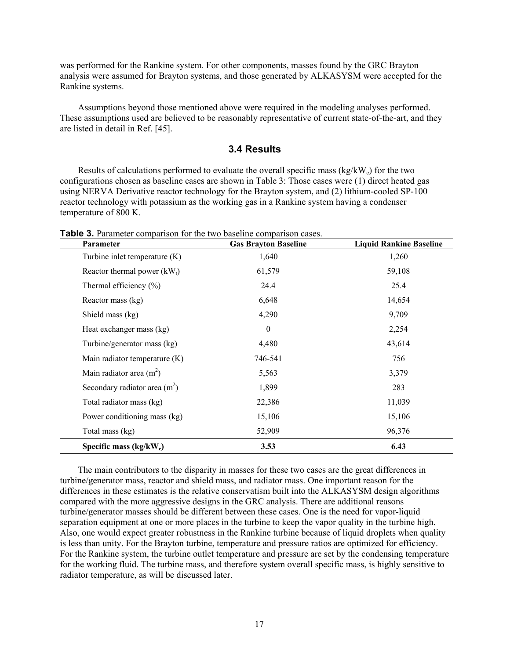was performed for the Rankine system. For other components, masses found by the GRC Brayton analysis were assumed for Brayton systems, and those generated by ALKASYSM were accepted for the Rankine systems.

Assumptions beyond those mentioned above were required in the modeling analyses performed. These assumptions used are believed to be reasonably representative of current state-of-the-art, and they are listed in detail in Ref. [45].

#### **3.4 Results**

Results of calculations performed to evaluate the overall specific mass  $(kg/kW_e)$  for the two configurations chosen as baseline cases are shown in Table 3: Those cases were (1) direct heated gas using NERVA Derivative reactor technology for the Brayton system, and (2) lithium-cooled SP-100 reactor technology with potassium as the working gas in a Rankine system having a condenser temperature of 800 K.

| Parameter                      | <b>Gas Brayton Baseline</b> | <b>Liquid Rankine Baseline</b> |
|--------------------------------|-----------------------------|--------------------------------|
| Turbine inlet temperature (K)  | 1,640                       | 1,260                          |
| Reactor thermal power $(kW_t)$ | 61,579                      | 59,108                         |
| Thermal efficiency $(\% )$     | 24.4                        | 25.4                           |
| Reactor mass (kg)              | 6,648                       | 14,654                         |
| Shield mass (kg)               | 4,290                       | 9,709                          |
| Heat exchanger mass (kg)       | $\mathbf{0}$                | 2,254                          |
| Turbine/generator mass (kg)    | 4,480                       | 43,614                         |
| Main radiator temperature (K)  | 746-541                     | 756                            |
| Main radiator area $(m2)$      | 5,563                       | 3,379                          |
| Secondary radiator area $(m2)$ | 1,899                       | 283                            |
| Total radiator mass (kg)       | 22,386                      | 11,039                         |
| Power conditioning mass (kg)   | 15,106                      | 15,106                         |
| Total mass (kg)                | 52,909                      | 96,376                         |
| Specific mass $(kg/kW_e)$      | 3.53                        | 6.43                           |

**Table 3.** Parameter comparison for the two baseline comparison cases.

The main contributors to the disparity in masses for these two cases are the great differences in turbine/generator mass, reactor and shield mass, and radiator mass. One important reason for the differences in these estimates is the relative conservatism built into the ALKASYSM design algorithms compared with the more aggressive designs in the GRC analysis. There are additional reasons turbine/generator masses should be different between these cases. One is the need for vapor-liquid separation equipment at one or more places in the turbine to keep the vapor quality in the turbine high. Also, one would expect greater robustness in the Rankine turbine because of liquid droplets when quality is less than unity. For the Brayton turbine, temperature and pressure ratios are optimized for efficiency. For the Rankine system, the turbine outlet temperature and pressure are set by the condensing temperature for the working fluid. The turbine mass, and therefore system overall specific mass, is highly sensitive to radiator temperature, as will be discussed later.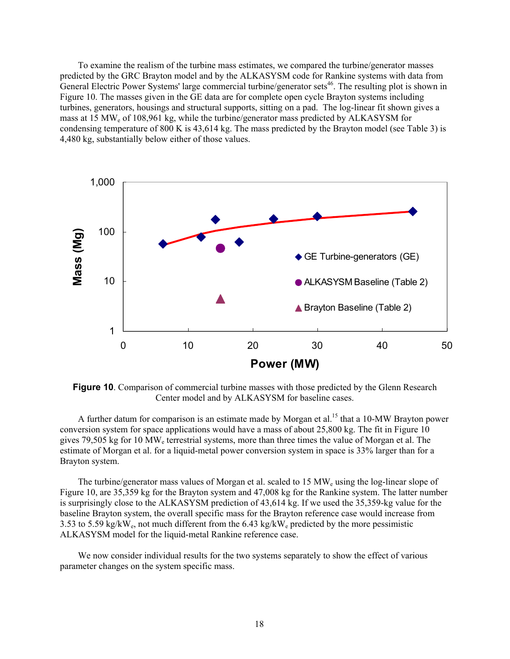To examine the realism of the turbine mass estimates, we compared the turbine/generator masses predicted by the GRC Brayton model and by the ALKASYSM code for Rankine systems with data from General Electric Power Systems' large commercial turbine/generator sets<sup>46</sup>. The resulting plot is shown in Figure 10. The masses given in the GE data are for complete open cycle Brayton systems including turbines, generators, housings and structural supports, sitting on a pad. The log-linear fit shown gives a mass at 15 MWe of 108,961 kg, while the turbine/generator mass predicted by ALKASYSM for condensing temperature of 800 K is 43,614 kg. The mass predicted by the Brayton model (see Table 3) is 4,480 kg, substantially below either of those values.



**Figure 10.** Comparison of commercial turbine masses with those predicted by the Glenn Research Center model and by ALKASYSM for baseline cases.

A further datum for comparison is an estimate made by Morgan et al.<sup>15</sup> that a 10-MW Brayton power conversion system for space applications would have a mass of about 25,800 kg. The fit in Figure 10 gives 79,505 kg for 10 MWe terrestrial systems, more than three times the value of Morgan et al. The estimate of Morgan et al. for a liquid-metal power conversion system in space is 33% larger than for a Brayton system.

The turbine/generator mass values of Morgan et al. scaled to 15  $\text{MW}_e$  using the log-linear slope of Figure 10, are 35,359 kg for the Brayton system and 47,008 kg for the Rankine system. The latter number is surprisingly close to the ALKASYSM prediction of 43,614 kg. If we used the 35,359-kg value for the baseline Brayton system, the overall specific mass for the Brayton reference case would increase from 3.53 to 5.59 kg/kW<sub>e</sub>, not much different from the 6.43 kg/kW<sub>e</sub> predicted by the more pessimistic ALKASYSM model for the liquid-metal Rankine reference case.

We now consider individual results for the two systems separately to show the effect of various parameter changes on the system specific mass.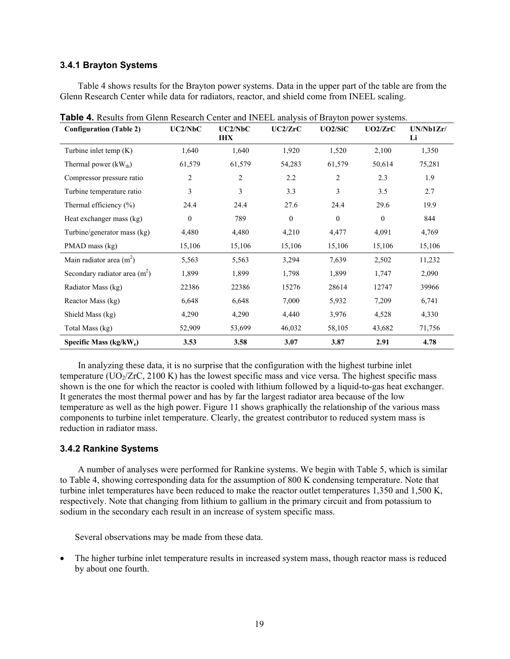#### **3.4.1 Brayton Systems**

Table 4 shows results for the Brayton power systems. Data in the upper part of the table are from the Glenn Research Center while data for radiators, reactor, and shield come from INEEL scaling.

| <b>Configuration (Table 2)</b>      | UC2/NbC          | UC2/NbC<br><b>IHX</b> | UC2/ZrC        | UO2/SiC          | UO2/ZrC      | UN/Nb1Zr/<br>Li |
|-------------------------------------|------------------|-----------------------|----------------|------------------|--------------|-----------------|
| Turbine inlet temp $(K)$            | 1,640            | 1,640                 | 1,920          | 1,520            | 2,100        | 1,350           |
| Thermal power $(kW_{th})$           | 61,579           | 61,579                | 54,283         | 61,579           | 50,614       | 75,281          |
| Compressor pressure ratio           | 2                | 2                     | 2.2            | 2                | 2.3          | 1.9             |
| Turbine temperature ratio           | 3                | 3                     | 3.3            | 3                | 3.5          | 2.7             |
| Thermal efficiency $(\% )$          | 24.4             | 24.4                  | 27.6           | 24.4             | 29.6         | 19.9            |
| Heat exchanger mass (kg)            | $\boldsymbol{0}$ | 789                   | $\overline{0}$ | $\boldsymbol{0}$ | $\mathbf{0}$ | 844             |
| Turbine/generator mass (kg)         | 4,480            | 4,480                 | 4,210          | 4,477            | 4,091        | 4,769           |
| PMAD mass (kg)                      | 15,106           | 15,106                | 15,106         | 15,106           | 15,106       | 15,106          |
| Main radiator area $(m^2)$          | 5,563            | 5,563                 | 3,294          | 7,639            | 2,502        | 11,232          |
| Secondary radiator area $(m2)$      | 1,899            | 1,899                 | 1,798          | 1,899            | 1,747        | 2,090           |
| Radiator Mass (kg)                  | 22386            | 22386                 | 15276          | 28614            | 12747        | 39966           |
| Reactor Mass (kg)                   | 6,648            | 6,648                 | 7,000          | 5,932            | 7,209        | 6,741           |
| Shield Mass (kg)                    | 4,290            | 4,290                 | 4,440          | 3,976            | 4,528        | 4,330           |
| Total Mass (kg)                     | 52,909           | 53,699                | 46,032         | 58,105           | 43,682       | 71,756          |
| Specific Mass (kg/kW <sub>e</sub> ) | 3.53             | 3.58                  | 3.07           | 3.87             | 2.91         | 4.78            |

**Table 4.** Results from Glenn Research Center and INEEL analysis of Brayton power systems.

In analyzing these data, it is no surprise that the configuration with the highest turbine inlet temperature ( $UO<sub>2</sub>/ZrC$ , 2100 K) has the lowest specific mass and vice versa. The highest specific mass shown is the one for which the reactor is cooled with lithium followed by a liquid-to-gas heat exchanger. It generates the most thermal power and has by far the largest radiator area because of the low temperature as well as the high power. Figure 11 shows graphically the relationship of the various mass components to turbine inlet temperature. Clearly, the greatest contributor to reduced system mass is reduction in radiator mass.

#### **3.4.2 Rankine Systems**

A number of analyses were performed for Rankine systems. We begin with Table 5, which is similar to Table 4, showing corresponding data for the assumption of 800 K condensing temperature. Note that turbine inlet temperatures have been reduced to make the reactor outlet temperatures 1,350 and 1,500 K, respectively. Note that changing from lithium to gallium in the primary circuit and from potassium to sodium in the secondary each result in an increase of system specific mass.

Several observations may be made from these data.

• The higher turbine inlet temperature results in increased system mass, though reactor mass is reduced by about one fourth.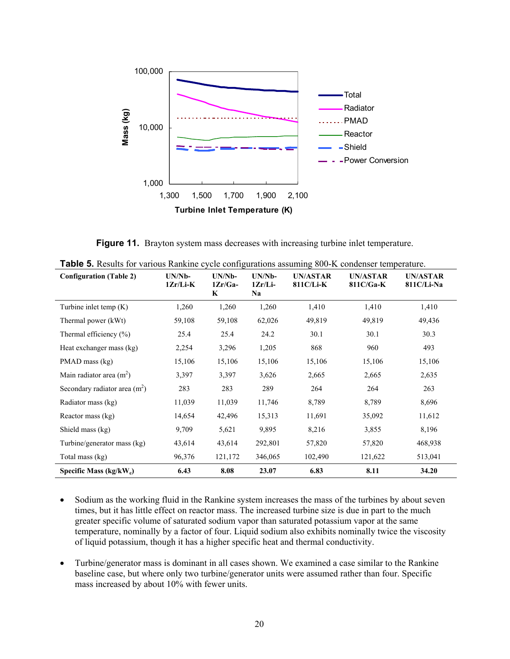

**Figure 11.** Brayton system mass decreases with increasing turbine inlet temperature.

| <b>Configuration (Table 2)</b> | $UN/Nb-$<br>1Zr/Li-K | $UN/Nb-$<br>$1Zr/Ga-$<br>K | UN/Nb-<br>$1Zr/Li-$<br>Na | <b>UN/ASTAR</b><br>811C/Li-K | <b>UN/ASTAR</b><br>$811C/Ga-K$ | <b>UN/ASTAR</b><br>811C/Li-Na |
|--------------------------------|----------------------|----------------------------|---------------------------|------------------------------|--------------------------------|-------------------------------|
| Turbine inlet temp $(K)$       | 1,260                | 1,260                      | 1,260                     | 1,410                        | 1,410                          | 1,410                         |
| Thermal power (kWt)            | 59,108               | 59,108                     | 62,026                    | 49,819                       | 49,819                         | 49,436                        |
| Thermal efficiency $(\% )$     | 25.4                 | 25.4                       | 24.2                      | 30.1                         | 30.1                           | 30.3                          |
| Heat exchanger mass (kg)       | 2,254                | 3,296                      | 1,205                     | 868                          | 960                            | 493                           |
| PMAD mass (kg)                 | 15,106               | 15,106                     | 15,106                    | 15,106                       | 15,106                         | 15,106                        |
| Main radiator area $(m2)$      | 3,397                | 3,397                      | 3,626                     | 2,665                        | 2,665                          | 2,635                         |
| Secondary radiator area $(m2)$ | 283                  | 283                        | 289                       | 264                          | 264                            | 263                           |
| Radiator mass (kg)             | 11,039               | 11,039                     | 11,746                    | 8,789                        | 8,789                          | 8,696                         |
| Reactor mass (kg)              | 14,654               | 42,496                     | 15,313                    | 11,691                       | 35,092                         | 11,612                        |
| Shield mass (kg)               | 9,709                | 5,621                      | 9,895                     | 8,216                        | 3,855                          | 8,196                         |
| Turbine/generator mass (kg)    | 43,614               | 43,614                     | 292,801                   | 57,820                       | 57,820                         | 468,938                       |
| Total mass (kg)                | 96,376               | 121,172                    | 346,065                   | 102,490                      | 121,622                        | 513,041                       |
| Specific Mass $(kg/kW_e)$      | 6.43                 | 8.08                       | 23.07                     | 6.83                         | 8.11                           | 34.20                         |

**Table 5.** Results for various Rankine cycle configurations assuming 800-K condenser temperature.

- Sodium as the working fluid in the Rankine system increases the mass of the turbines by about seven times, but it has little effect on reactor mass. The increased turbine size is due in part to the much greater specific volume of saturated sodium vapor than saturated potassium vapor at the same temperature, nominally by a factor of four. Liquid sodium also exhibits nominally twice the viscosity of liquid potassium, though it has a higher specific heat and thermal conductivity.
- Turbine/generator mass is dominant in all cases shown. We examined a case similar to the Rankine baseline case, but where only two turbine/generator units were assumed rather than four. Specific mass increased by about 10% with fewer units.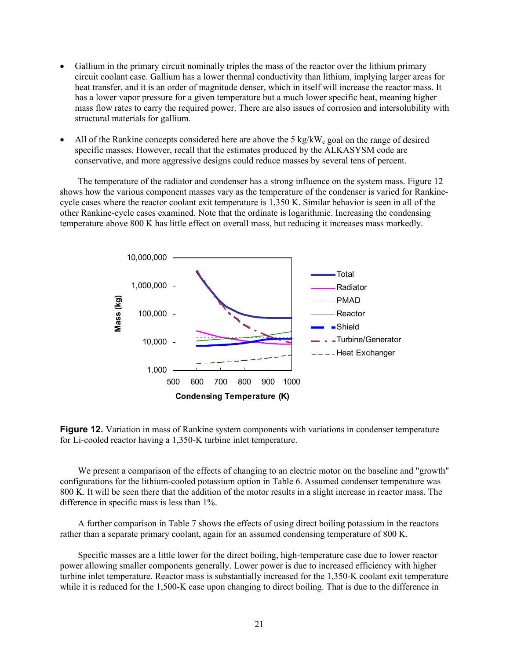- Gallium in the primary circuit nominally triples the mass of the reactor over the lithium primary circuit coolant case. Gallium has a lower thermal conductivity than lithium, implying larger areas for heat transfer, and it is an order of magnitude denser, which in itself will increase the reactor mass. It has a lower vapor pressure for a given temperature but a much lower specific heat, meaning higher mass flow rates to carry the required power. There are also issues of corrosion and intersolubility with structural materials for gallium.
- All of the Rankine concepts considered here are above the 5 kg/kW<sub>e</sub> goal on the range of desired specific masses. However, recall that the estimates produced by the ALKASYSM code are conservative, and more aggressive designs could reduce masses by several tens of percent.

The temperature of the radiator and condenser has a strong influence on the system mass. Figure 12 shows how the various component masses vary as the temperature of the condenser is varied for Rankinecycle cases where the reactor coolant exit temperature is 1,350 K. Similar behavior is seen in all of the other Rankine-cycle cases examined. Note that the ordinate is logarithmic. Increasing the condensing temperature above 800 K has little effect on overall mass, but reducing it increases mass markedly.



**Figure 12.** Variation in mass of Rankine system components with variations in condenser temperature for Li-cooled reactor having a 1,350-K turbine inlet temperature.

We present a comparison of the effects of changing to an electric motor on the baseline and "growth" configurations for the lithium-cooled potassium option in Table 6. Assumed condenser temperature was 800 K. It will be seen there that the addition of the motor results in a slight increase in reactor mass. The difference in specific mass is less than 1%.

A further comparison in Table 7 shows the effects of using direct boiling potassium in the reactors rather than a separate primary coolant, again for an assumed condensing temperature of 800 K.

Specific masses are a little lower for the direct boiling, high-temperature case due to lower reactor power allowing smaller components generally. Lower power is due to increased efficiency with higher turbine inlet temperature. Reactor mass is substantially increased for the 1,350-K coolant exit temperature while it is reduced for the 1,500-K case upon changing to direct boiling. That is due to the difference in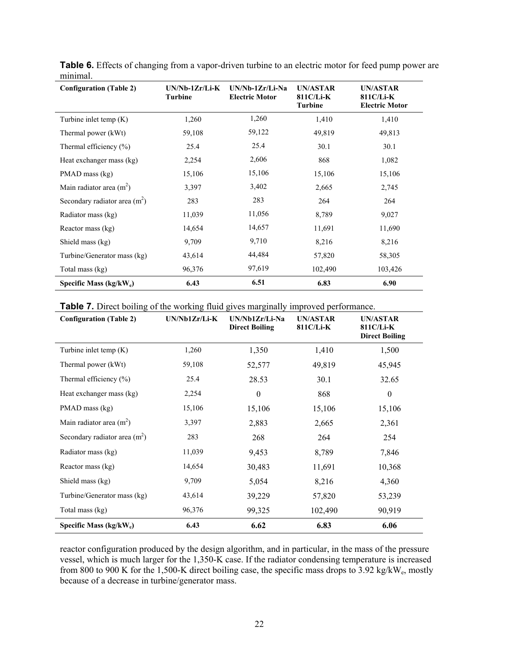| <b>Configuration (Table 2)</b> | $UN/Nb-1Zr/Li-K$<br><b>Turbine</b> | $UN/Nb-1Zr/Li-Na$<br><b>Electric Motor</b> | UN/ASTAR<br>811C/Li-K<br><b>Turbine</b> | <b>UN/ASTAR</b><br>811C/Li-K<br><b>Electric Motor</b> |
|--------------------------------|------------------------------------|--------------------------------------------|-----------------------------------------|-------------------------------------------------------|
| Turbine inlet temp $(K)$       | 1,260                              | 1,260                                      | 1,410                                   | 1,410                                                 |
| Thermal power (kWt)            | 59,108                             | 59,122                                     | 49,819                                  | 49,813                                                |
| Thermal efficiency $(\%)$      | 25.4                               | 25.4                                       | 30.1                                    | 30.1                                                  |
| Heat exchanger mass (kg)       | 2,254                              | 2,606                                      | 868                                     | 1,082                                                 |
| PMAD mass (kg)                 | 15,106                             | 15,106                                     | 15,106                                  | 15,106                                                |
| Main radiator area $(m^2)$     | 3,397                              | 3,402                                      | 2,665                                   | 2,745                                                 |
| Secondary radiator area $(m2)$ | 283                                | 283                                        | 264                                     | 264                                                   |
| Radiator mass (kg)             | 11,039                             | 11,056                                     | 8,789                                   | 9,027                                                 |
| Reactor mass (kg)              | 14,654                             | 14,657                                     | 11,691                                  | 11,690                                                |
| Shield mass (kg)               | 9,709                              | 9,710                                      | 8,216                                   | 8,216                                                 |
| Turbine/Generator mass (kg)    | 43,614                             | 44,484                                     | 57,820                                  | 58,305                                                |
| Total mass (kg)                | 96,376                             | 97,619                                     | 102,490                                 | 103,426                                               |
| Specific Mass $(kg/kW_e)$      | 6.43                               | 6.51                                       | 6.83                                    | 6.90                                                  |

**Table 6.** Effects of changing from a vapor-driven turbine to an electric motor for feed pump power are minimal.

| <b>Table 7.</b> Direct boiling of the working fluid gives marginally improved performance. |
|--------------------------------------------------------------------------------------------|
|--------------------------------------------------------------------------------------------|

| <b>Configuration (Table 2)</b> | $UN/Nb1Zr/Li-K$ | UN/Nb1Zr/Li-Na<br><b>Direct Boiling</b> | <b>UN/ASTAR</b><br>811C/Li-K | <b>UN/ASTAR</b><br>811C/Li-K<br><b>Direct Boiling</b> |
|--------------------------------|-----------------|-----------------------------------------|------------------------------|-------------------------------------------------------|
| Turbine inlet temp $(K)$       | 1,260           | 1,350                                   | 1,410                        | 1,500                                                 |
| Thermal power (kWt)            | 59,108          | 52,577                                  | 49,819                       | 45,945                                                |
| Thermal efficiency $(\% )$     | 25.4            | 28.53                                   | 30.1                         | 32.65                                                 |
| Heat exchanger mass (kg)       | 2,254           | $\theta$                                | 868                          | $\theta$                                              |
| PMAD mass (kg)                 | 15,106          | 15,106                                  | 15,106                       | 15,106                                                |
| Main radiator area $(m2)$      | 3,397           | 2,883                                   | 2,665                        | 2,361                                                 |
| Secondary radiator area $(m2)$ | 283             | 268                                     | 264                          | 254                                                   |
| Radiator mass (kg)             | 11,039          | 9,453                                   | 8,789                        | 7,846                                                 |
| Reactor mass (kg)              | 14,654          | 30,483                                  | 11,691                       | 10,368                                                |
| Shield mass (kg)               | 9,709           | 5,054                                   | 8,216                        | 4,360                                                 |
| Turbine/Generator mass (kg)    | 43,614          | 39,229                                  | 57,820                       | 53,239                                                |
| Total mass (kg)                | 96,376          | 99,325                                  | 102,490                      | 90,919                                                |
| Specific Mass $(kg/kW_e)$      | 6.43            | 6.62                                    | 6.83                         | 6.06                                                  |

reactor configuration produced by the design algorithm, and in particular, in the mass of the pressure vessel, which is much larger for the 1,350-K case. If the radiator condensing temperature is increased from 800 to 900 K for the 1,500-K direct boiling case, the specific mass drops to 3.92 kg/kW<sub>e</sub>, mostly because of a decrease in turbine/generator mass.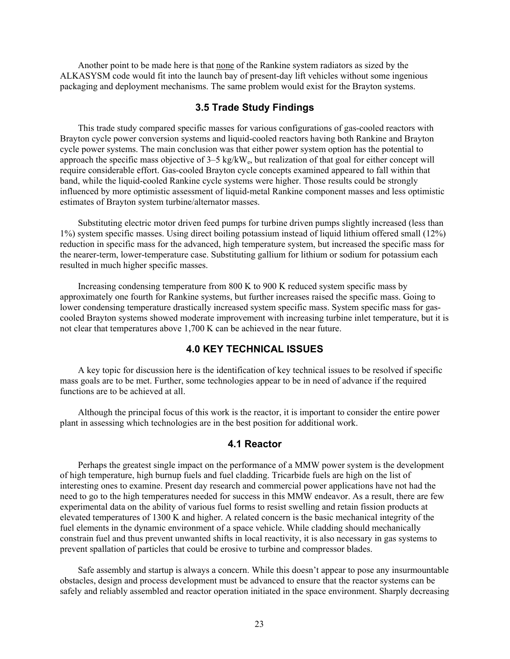Another point to be made here is that none of the Rankine system radiators as sized by the ALKASYSM code would fit into the launch bay of present-day lift vehicles without some ingenious packaging and deployment mechanisms. The same problem would exist for the Brayton systems.

#### **3.5 Trade Study Findings**

This trade study compared specific masses for various configurations of gas-cooled reactors with Brayton cycle power conversion systems and liquid-cooled reactors having both Rankine and Brayton cycle power systems. The main conclusion was that either power system option has the potential to approach the specific mass objective of 3–5 kg/kWe, but realization of that goal for either concept will require considerable effort. Gas-cooled Brayton cycle concepts examined appeared to fall within that band, while the liquid-cooled Rankine cycle systems were higher. Those results could be strongly influenced by more optimistic assessment of liquid-metal Rankine component masses and less optimistic estimates of Brayton system turbine/alternator masses.

Substituting electric motor driven feed pumps for turbine driven pumps slightly increased (less than 1%) system specific masses. Using direct boiling potassium instead of liquid lithium offered small (12%) reduction in specific mass for the advanced, high temperature system, but increased the specific mass for the nearer-term, lower-temperature case. Substituting gallium for lithium or sodium for potassium each resulted in much higher specific masses.

Increasing condensing temperature from 800 K to 900 K reduced system specific mass by approximately one fourth for Rankine systems, but further increases raised the specific mass. Going to lower condensing temperature drastically increased system specific mass. System specific mass for gascooled Brayton systems showed moderate improvement with increasing turbine inlet temperature, but it is not clear that temperatures above 1,700 K can be achieved in the near future.

#### **4.0 KEY TECHNICAL ISSUES**

A key topic for discussion here is the identification of key technical issues to be resolved if specific mass goals are to be met. Further, some technologies appear to be in need of advance if the required functions are to be achieved at all.

Although the principal focus of this work is the reactor, it is important to consider the entire power plant in assessing which technologies are in the best position for additional work.

#### **4.1 Reactor**

Perhaps the greatest single impact on the performance of a MMW power system is the development of high temperature, high burnup fuels and fuel cladding. Tricarbide fuels are high on the list of interesting ones to examine. Present day research and commercial power applications have not had the need to go to the high temperatures needed for success in this MMW endeavor. As a result, there are few experimental data on the ability of various fuel forms to resist swelling and retain fission products at elevated temperatures of 1300 K and higher. A related concern is the basic mechanical integrity of the fuel elements in the dynamic environment of a space vehicle. While cladding should mechanically constrain fuel and thus prevent unwanted shifts in local reactivity, it is also necessary in gas systems to prevent spallation of particles that could be erosive to turbine and compressor blades.

Safe assembly and startup is always a concern. While this doesn't appear to pose any insurmountable obstacles, design and process development must be advanced to ensure that the reactor systems can be safely and reliably assembled and reactor operation initiated in the space environment. Sharply decreasing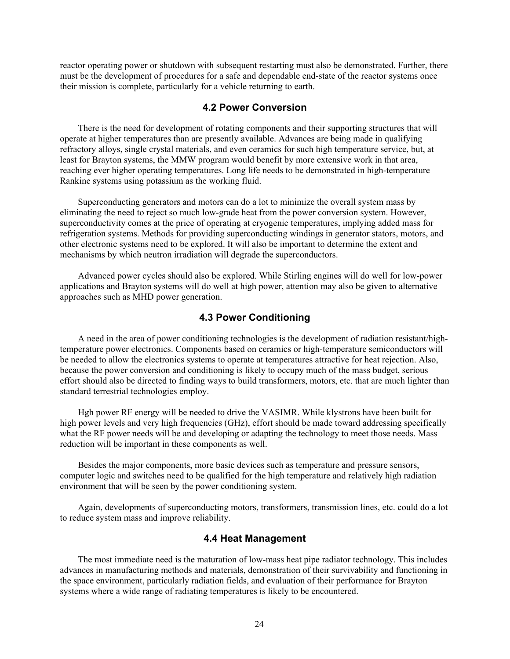reactor operating power or shutdown with subsequent restarting must also be demonstrated. Further, there must be the development of procedures for a safe and dependable end-state of the reactor systems once their mission is complete, particularly for a vehicle returning to earth.

#### **4.2 Power Conversion**

There is the need for development of rotating components and their supporting structures that will operate at higher temperatures than are presently available. Advances are being made in qualifying refractory alloys, single crystal materials, and even ceramics for such high temperature service, but, at least for Brayton systems, the MMW program would benefit by more extensive work in that area, reaching ever higher operating temperatures. Long life needs to be demonstrated in high-temperature Rankine systems using potassium as the working fluid.

Superconducting generators and motors can do a lot to minimize the overall system mass by eliminating the need to reject so much low-grade heat from the power conversion system. However, superconductivity comes at the price of operating at cryogenic temperatures, implying added mass for refrigeration systems. Methods for providing superconducting windings in generator stators, motors, and other electronic systems need to be explored. It will also be important to determine the extent and mechanisms by which neutron irradiation will degrade the superconductors.

Advanced power cycles should also be explored. While Stirling engines will do well for low-power applications and Brayton systems will do well at high power, attention may also be given to alternative approaches such as MHD power generation.

#### **4.3 Power Conditioning**

A need in the area of power conditioning technologies is the development of radiation resistant/hightemperature power electronics. Components based on ceramics or high-temperature semiconductors will be needed to allow the electronics systems to operate at temperatures attractive for heat rejection. Also, because the power conversion and conditioning is likely to occupy much of the mass budget, serious effort should also be directed to finding ways to build transformers, motors, etc. that are much lighter than standard terrestrial technologies employ.

Hgh power RF energy will be needed to drive the VASIMR. While klystrons have been built for high power levels and very high frequencies (GHz), effort should be made toward addressing specifically what the RF power needs will be and developing or adapting the technology to meet those needs. Mass reduction will be important in these components as well.

Besides the major components, more basic devices such as temperature and pressure sensors, computer logic and switches need to be qualified for the high temperature and relatively high radiation environment that will be seen by the power conditioning system.

Again, developments of superconducting motors, transformers, transmission lines, etc. could do a lot to reduce system mass and improve reliability.

#### **4.4 Heat Management**

The most immediate need is the maturation of low-mass heat pipe radiator technology. This includes advances in manufacturing methods and materials, demonstration of their survivability and functioning in the space environment, particularly radiation fields, and evaluation of their performance for Brayton systems where a wide range of radiating temperatures is likely to be encountered.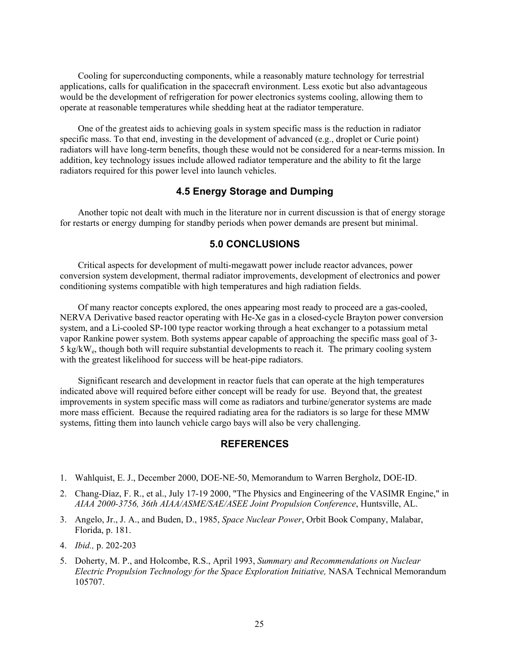Cooling for superconducting components, while a reasonably mature technology for terrestrial applications, calls for qualification in the spacecraft environment. Less exotic but also advantageous would be the development of refrigeration for power electronics systems cooling, allowing them to operate at reasonable temperatures while shedding heat at the radiator temperature.

One of the greatest aids to achieving goals in system specific mass is the reduction in radiator specific mass. To that end, investing in the development of advanced (e.g., droplet or Curie point) radiators will have long-term benefits, though these would not be considered for a near-terms mission. In addition, key technology issues include allowed radiator temperature and the ability to fit the large radiators required for this power level into launch vehicles.

#### **4.5 Energy Storage and Dumping**

Another topic not dealt with much in the literature nor in current discussion is that of energy storage for restarts or energy dumping for standby periods when power demands are present but minimal.

#### **5.0 CONCLUSIONS**

Critical aspects for development of multi-megawatt power include reactor advances, power conversion system development, thermal radiator improvements, development of electronics and power conditioning systems compatible with high temperatures and high radiation fields.

Of many reactor concepts explored, the ones appearing most ready to proceed are a gas-cooled, NERVA Derivative based reactor operating with He-Xe gas in a closed-cycle Brayton power conversion system, and a Li-cooled SP-100 type reactor working through a heat exchanger to a potassium metal vapor Rankine power system. Both systems appear capable of approaching the specific mass goal of 3- 5 kg/kWe, though both will require substantial developments to reach it. The primary cooling system with the greatest likelihood for success will be heat-pipe radiators.

Significant research and development in reactor fuels that can operate at the high temperatures indicated above will required before either concept will be ready for use. Beyond that, the greatest improvements in system specific mass will come as radiators and turbine/generator systems are made more mass efficient. Because the required radiating area for the radiators is so large for these MMW systems, fitting them into launch vehicle cargo bays will also be very challenging.

#### **REFERENCES**

- 1. Wahlquist, E. J., December 2000, DOE-NE-50, Memorandum to Warren Bergholz, DOE-ID.
- 2. Chang-Díaz, F. R., et al., July 17-19 2000, "The Physics and Engineering of the VASIMR Engine," in *AIAA 2000-3756, 36th AIAA/ASME/SAE/ASEE Joint Propulsion Conference*, Huntsville, AL.
- 3. Angelo, Jr., J. A., and Buden, D., 1985, *Space Nuclear Power*, Orbit Book Company, Malabar, Florida, p. 181.
- 4. *Ibid.,* p. 202-203
- 5. Doherty, M. P., and Holcombe, R.S., April 1993, *Summary and Recommendations on Nuclear Electric Propulsion Technology for the Space Exploration Initiative,* NASA Technical Memorandum 105707.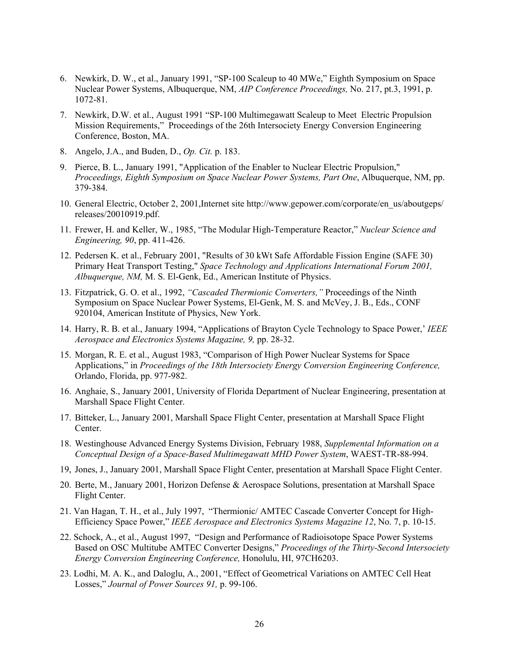- 6. Newkirk, D. W., et al., January 1991, "SP-100 Scaleup to 40 MWe," Eighth Symposium on Space Nuclear Power Systems, Albuquerque, NM, *AIP Conference Proceedings,* No. 217, pt.3, 1991, p. 1072-81.
- 7. Newkirk, D.W. et al., August 1991 "SP-100 Multimegawatt Scaleup to Meet Electric Propulsion Mission Requirements," Proceedings of the 26th Intersociety Energy Conversion Engineering Conference, Boston, MA.
- 8. Angelo, J.A., and Buden, D., *Op. Cit.* p. 183.
- 9. Pierce, B. L., January 1991, "Application of the Enabler to Nuclear Electric Propulsion," *Proceedings, Eighth Symposium on Space Nuclear Power Systems, Part One*, Albuquerque, NM, pp. 379-384.
- 10. General Electric, October 2, 2001,Internet site http://www.gepower.com/corporate/en\_us/aboutgeps/ releases/20010919.pdf.
- 11. Frewer, H. and Keller, W., 1985, "The Modular High-Temperature Reactor," *Nuclear Science and Engineering, 90*, pp. 411-426.
- 12. Pedersen K. et al., February 2001, "Results of 30 kWt Safe Affordable Fission Engine (SAFE 30) Primary Heat Transport Testing," *Space Technology and Applications International Forum 2001, Albuquerque, NM,* M. S. El-Genk, Ed., American Institute of Physics.
- 13. Fitzpatrick, G. O. et al., 1992, *"Cascaded Thermionic Converters,"* Proceedings of the Ninth Symposium on Space Nuclear Power Systems, El-Genk, M. S. and McVey, J. B., Eds., CONF 920104, American Institute of Physics, New York.
- 14. Harry, R. B. et al., January 1994, "Applications of Brayton Cycle Technology to Space Power,' *IEEE Aerospace and Electronics Systems Magazine, 9,* pp. 28-32.
- 15. Morgan, R. E. et al., August 1983, "Comparison of High Power Nuclear Systems for Space Applications," in *Proceedings of the 18th Intersociety Energy Conversion Engineering Conference,* Orlando, Florida, pp. 977-982.
- 16. Anghaie, S., January 2001, University of Florida Department of Nuclear Engineering, presentation at Marshall Space Flight Center.
- 17. Bitteker, L., January 2001, Marshall Space Flight Center, presentation at Marshall Space Flight Center.
- 18. Westinghouse Advanced Energy Systems Division, February 1988, *Supplemental Information on a Conceptual Design of a Space-Based Multimegawatt MHD Power System*, WAEST-TR-88-994.
- 19, Jones, J., January 2001, Marshall Space Flight Center, presentation at Marshall Space Flight Center.
- 20. Berte, M., January 2001, Horizon Defense & Aerospace Solutions, presentation at Marshall Space Flight Center.
- 21. Van Hagan, T. H., et al., July 1997, "Thermionic/ AMTEC Cascade Converter Concept for High-Efficiency Space Power," *IEEE Aerospace and Electronics Systems Magazine 12*, No. 7, p. 10-15.
- 22. Schock, A., et al., August 1997, "Design and Performance of Radioisotope Space Power Systems Based on OSC Multitube AMTEC Converter Designs," *Proceedings of the Thirty-Second Intersociety Energy Conversion Engineering Conference,* Honolulu, HI, 97CH6203.
- 23. Lodhi, M. A. K., and Daloglu, A., 2001, "Effect of Geometrical Variations on AMTEC Cell Heat Losses," *Journal of Power Sources 91,* p. 99-106.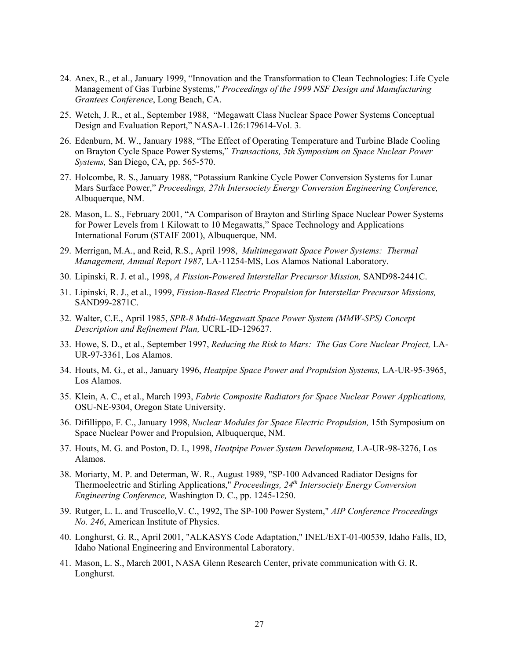- 24. Anex, R., et al., January 1999, "Innovation and the Transformation to Clean Technologies: Life Cycle Management of Gas Turbine Systems," *Proceedings of the 1999 NSF Design and Manufacturing Grantees Conference*, Long Beach, CA.
- 25. Wetch, J. R., et al., September 1988, "Megawatt Class Nuclear Space Power Systems Conceptual Design and Evaluation Report," NASA-1.126:179614-Vol. 3.
- 26. Edenburn, M. W., January 1988, "The Effect of Operating Temperature and Turbine Blade Cooling on Brayton Cycle Space Power Systems," *Transactions, 5th Symposium on Space Nuclear Power Systems,* San Diego, CA, pp. 565-570.
- 27. Holcombe, R. S., January 1988, "Potassium Rankine Cycle Power Conversion Systems for Lunar Mars Surface Power," *Proceedings, 27th Intersociety Energy Conversion Engineering Conference,* Albuquerque, NM.
- 28. Mason, L. S., February 2001, "A Comparison of Brayton and Stirling Space Nuclear Power Systems for Power Levels from 1 Kilowatt to 10 Megawatts," Space Technology and Applications International Forum (STAIF 2001), Albuquerque, NM.
- 29. Merrigan, M.A., and Reid, R.S., April 1998, *Multimegawatt Space Power Systems: Thermal Management, Annual Report 1987,* LA-11254-MS, Los Alamos National Laboratory.
- 30. Lipinski, R. J. et al., 1998, *A Fission-Powered Interstellar Precursor Mission,* SAND98-2441C.
- 31. Lipinski, R. J., et al., 1999, *Fission-Based Electric Propulsion for Interstellar Precursor Missions,* SAND99-2871C.
- 32. Walter, C.E., April 1985, *SPR-8 Multi-Megawatt Space Power System (MMW-SPS) Concept Description and Refinement Plan,* UCRL-ID-129627.
- 33. Howe, S. D., et al., September 1997, *Reducing the Risk to Mars: The Gas Core Nuclear Project,* LA-UR-97-3361, Los Alamos.
- 34. Houts, M. G., et al., January 1996, *Heatpipe Space Power and Propulsion Systems,* LA-UR-95-3965, Los Alamos.
- 35. Klein, A. C., et al., March 1993, *Fabric Composite Radiators for Space Nuclear Power Applications,* OSU-NE-9304, Oregon State University.
- 36. Difillippo, F. C., January 1998, *Nuclear Modules for Space Electric Propulsion,* 15th Symposium on Space Nuclear Power and Propulsion, Albuquerque, NM.
- 37. Houts, M. G. and Poston, D. I., 1998, *Heatpipe Power System Development,* LA-UR-98-3276, Los Alamos.
- 38. Moriarty, M. P. and Determan, W. R., August 1989, "SP-100 Advanced Radiator Designs for Thermoelectric and Stirling Applications," *Proceedings, 24th Intersociety Energy Conversion Engineering Conference,* Washington D. C., pp. 1245-1250.
- 39. Rutger, L. L. and Truscello,V. C., 1992, The SP-100 Power System," *AIP Conference Proceedings No. 246*, American Institute of Physics.
- 40. Longhurst, G. R., April 2001, "ALKASYS Code Adaptation," INEL/EXT-01-00539, Idaho Falls, ID, Idaho National Engineering and Environmental Laboratory.
- 41. Mason, L. S., March 2001, NASA Glenn Research Center, private communication with G. R. Longhurst.